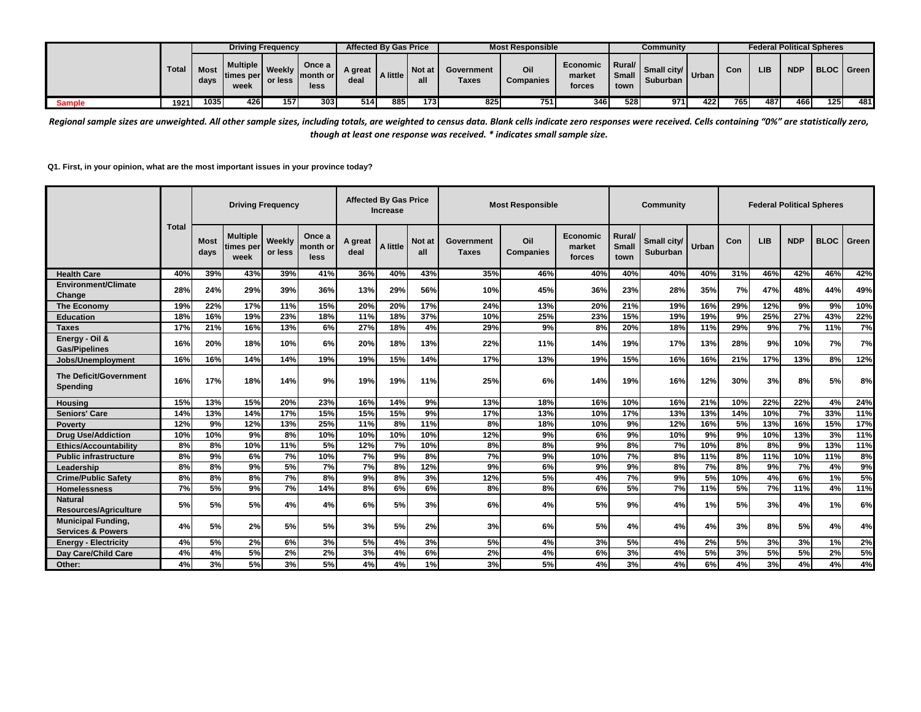|               |              |                     | <b>Driving Frequency</b><br><b>Multiple 1.</b><br>Once a<br>Weekly<br>Imonth or I<br>times per<br>or less<br>less<br>week |     |     | <b>Affected By Gas Price</b> |          |                  |                     | <b>Most Responsible</b> |                                     |                                                                                     | Communitv               |        |     |     |            | <b>Federal Political Spheres</b> |     |
|---------------|--------------|---------------------|---------------------------------------------------------------------------------------------------------------------------|-----|-----|------------------------------|----------|------------------|---------------------|-------------------------|-------------------------------------|-------------------------------------------------------------------------------------|-------------------------|--------|-----|-----|------------|----------------------------------|-----|
|               | <b>Total</b> | <b>Most</b><br>days |                                                                                                                           |     |     | A great<br>deal              | A little | Not at<br>all    | Government<br>Taxes | Oil<br>Companies        | <b>Economic</b><br>market<br>forces | $\blacksquare$ Rural/ $\blacksquare$<br>$\blacksquare$ Small $\blacksquare$<br>town | Small city/<br>Suburban | Urban. | Con | LIB | <b>NDP</b> | <b>I BLOC I Green I</b>          |     |
| <b>Sample</b> | 1921         | 1035 <sub>1</sub>   | 4261                                                                                                                      | 157 | 303 | 514                          | 8851     | 173 <sub>l</sub> | 825                 | 751                     | 346 <sup>I</sup>                    | 528                                                                                 | 971                     | 422    | 765 | 487 | 4661       | 125                              | 481 |

*Regional sample sizes are unweighted. All other sample sizes, including totals, are weighted to census data. Blank cells indicate zero responses were received. Cells containing "0%" are statistically zero, though at least one response was received. \* indicates small sample size.*

**Q1. First, in your opinion, what are the most important issues in your province today?**

|                                                           |              |                     |                                      | <b>Driving Frequency</b> |                            |                 | <b>Affected By Gas Price</b><br><b>Increase</b> |               |                     | <b>Most Responsible</b> |                              |                                | <b>Community</b>               |       |     | <b>Federal Political Spheres</b> |            |             |       |
|-----------------------------------------------------------|--------------|---------------------|--------------------------------------|--------------------------|----------------------------|-----------------|-------------------------------------------------|---------------|---------------------|-------------------------|------------------------------|--------------------------------|--------------------------------|-------|-----|----------------------------------|------------|-------------|-------|
|                                                           | <b>Total</b> | <b>Most</b><br>days | <b>Multiple</b><br>times per<br>week | Weekly<br>or less        | Once a<br>month or<br>less | A great<br>deal | A little                                        | Not at<br>all | Government<br>Taxes | Oil<br><b>Companies</b> | Economic<br>market<br>forces | Rural/<br><b>Small</b><br>town | Small city/<br><b>Suburban</b> | Urban | Con | <b>LIB</b>                       | <b>NDP</b> | <b>BLOC</b> | Green |
| <b>Health Care</b>                                        | 40%          | 39%                 | 43%                                  | 39%                      | 41%                        | 36%             | 40%                                             | 43%           | 35%                 | 46%                     | 40%                          | 40%                            | 40%                            | 40%   | 31% | 46%                              | 42%        | 46%         | 42%   |
| Environment/Climate<br>Change                             | 28%          | 24%                 | 29%                                  | 39%                      | 36%                        | 13%             | 29%                                             | 56%           | 10%                 | 45%                     | 36%                          | 23%                            | 28%                            | 35%   | 7%  | 47%                              | 48%        | 44%         | 49%   |
| <b>The Economy</b>                                        | 19%          | 22%                 | 17%                                  | 11%                      | 15%                        | 20%             | 20%                                             | 17%           | 24%                 | 13%                     | 20%                          | 21%                            | 19%                            | 16%   | 29% | 12%                              | 9%         | 9%          | 10%   |
| <b>Education</b>                                          | 18%          | 16%                 | 19%                                  | 23%                      | 18%                        | 11%             | 18%                                             | 37%           | 10%                 | 25%                     | 23%                          | 15%                            | 19%                            | 19%   | 9%  | 25%                              | 27%        | 43%         | 22%   |
| <b>Taxes</b>                                              | 17%          | 21%                 | 16%                                  | 13%                      | 6%                         | 27%             | 18%                                             | 4%            | 29%                 | 9%                      | 8%                           | 20%                            | 18%                            | 11%   | 29% | 9%                               | 7%         | 11%         | 7%    |
| Energy - Oil &<br><b>Gas/Pipelines</b>                    | 16%          | 20%                 | 18%                                  | 10%                      | 6%                         | 20%             | 18%                                             | 13%           | 22%                 | 11%                     | 14%                          | 19%                            | 17%                            | 13%   | 28% | 9%                               | 10%        | 7%          | 7%    |
| Jobs/Unemployment                                         | 16%          | 16%                 | 14%                                  | 14%                      | 19%                        | 19%             | 15%                                             | 14%           | 17%                 | 13%                     | 19%                          | 15%                            | 16%                            | 16%   | 21% | 17%                              | 13%        | 8%          | 12%   |
| <b>The Deficit/Government</b><br>Spending                 | 16%          | 17%                 | 18%                                  | 14%                      | 9%                         | 19%             | 19%                                             | 11%           | 25%                 | 6%                      | 14%                          | 19%                            | 16%                            | 12%   | 30% | 3%                               | 8%         | 5%          | 8%    |
| <b>Housing</b>                                            | 15%          | 13%                 | 15%                                  | 20%                      | 23%                        | 16%             | 14%                                             | 9%            | 13%                 | 18%                     | 16%                          | 10%                            | 16%                            | 21%   | 10% | 22%                              | 22%        | 4%          | 24%   |
| <b>Seniors' Care</b>                                      | 14%          | 13%                 | 14%                                  | 17%                      | 15%                        | 15%             | 15%                                             | 9%            | 17%                 | 13%                     | 10%                          | 17%                            | 13%                            | 13%   | 14% | 10%                              | 7%         | 33%         | 11%   |
| <b>Poverty</b>                                            | 12%          | 9%                  | 12%                                  | 13%                      | 25%                        | 11%             | 8%                                              | 11%           | 8%                  | 18%                     | 10%                          | 9%                             | 12%                            | 16%   | 5%  | 13%                              | 16%        | 15%         | 17%   |
| <b>Drug Use/Addiction</b>                                 | 10%          | 10%                 | 9%                                   | 8%                       | 10%                        | 10%             | 10%                                             | 10%           | 12%                 | 9%                      | 6%                           | 9%                             | 10%                            | 9%    | 9%  | 10%                              | 13%        | 3%          | 11%   |
| <b>Ethics/Accountability</b>                              | 8%           | 8%                  | 10%                                  | 11%                      | 5%                         | 12%             | 7%                                              | 10%           | 8%                  | 8%                      | 9%                           | 8%                             | 7%                             | 10%   | 8%  | 8%                               | 9%         | 13%         | 11%   |
| <b>Public infrastructure</b>                              | 8%           | 9%                  | 6%                                   | 7%                       | 10%                        | 7%              | 9%                                              | 8%            | 7%                  | 9%                      | 10%                          | 7%                             | 8%                             | 11%   | 8%  | 11%                              | 10%        | 11%         | 8%    |
| Leadership                                                | 8%           | 8%                  | 9%                                   | 5%                       | 7%                         | 7%              | 8%                                              | 12%           | 9%                  | 6%                      | 9%                           | 9%                             | 8%                             | 7%    | 8%  | 9%                               | 7%         | 4%          | 9%    |
| <b>Crime/Public Safetv</b>                                | 8%           | 8%                  | 8%                                   | 7%                       | 8%                         | 9%              | 8%                                              | 3%            | 12%                 | 5%                      | 4%                           | 7%                             | 9%                             | 5%    | 10% | 4%                               | 6%         | 1%          | 5%    |
| Homelessness                                              | 7%           | 5%                  | 9%                                   | 7%                       | 14%                        | 8%              | 6%                                              | 6%            | 8%                  | 8%                      | 6%                           | 5%                             | 7%                             | 11%   | 5%  | 7%                               | 11%        | 4%          | 11%   |
| <b>Natural</b><br><b>Resources/Agriculture</b>            | 5%           | 5%                  | 5%                                   | 4%                       | 4%                         | 6%              | 5%                                              | 3%            | 6%                  | 4%                      | 5%                           | 9%                             | 4%                             | 1%    | 5%  | 3%                               | 4%         | 1%          | 6%    |
| <b>Municipal Funding,</b><br><b>Services &amp; Powers</b> | 4%           | 5%                  | 2%                                   | 5%                       | 5%                         | 3%              | <b>5%</b>                                       | 2%            | 3%                  | 6%                      | 5%                           | 4%                             | 4%                             | 4%    | 3%  | 8%                               | 5%         | 4%          | 4%    |
| <b>Energy - Electricity</b>                               | 4%           | 5%                  | 2%                                   | 6%                       | 3%                         | 5%              | 4%                                              | 3%            | 5%                  | 4%                      | 3%                           | 5%                             | 4%                             | 2%    | 5%  | 3%                               | 3%         | 1%          | 2%    |
| Day Care/Child Care                                       | 4%           | 4%                  | 5%                                   | 2%                       | 2%                         | 3%              | 4%                                              | 6%            | 2%                  | 4%                      | 6%                           | 3%                             | 4%                             | 5%    | 3%  | 5%                               | 5%         | 2%          | 5%    |
| Other:                                                    | 4%           | 3%                  | 5%                                   | 3%                       | 5%                         | 4%              | 4%                                              | 1%            | 3%                  | 5%                      | 4%                           | 3%                             | 4%                             | 6%    | 4%  | 3%                               | 4%         | 4%          | 4%    |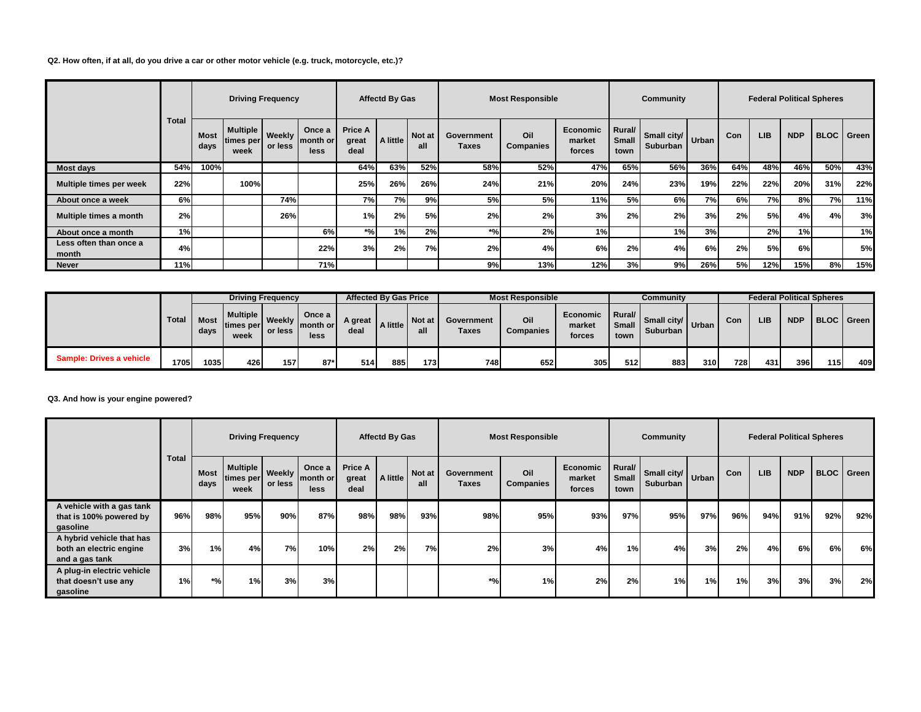# **Q2. How often, if at all, do you drive a car or other motor vehicle (e.g. truck, motorcycle, etc.)?**

|                                 |              |                     |                                          | <b>Driving Frequency</b> |                            |                                 | <b>Affectd By Gas</b> |               |                     | <b>Most Responsible</b> |                              |                                | Community                                  |     |     |            |            | <b>Federal Political Spheres</b> |                   |
|---------------------------------|--------------|---------------------|------------------------------------------|--------------------------|----------------------------|---------------------------------|-----------------------|---------------|---------------------|-------------------------|------------------------------|--------------------------------|--------------------------------------------|-----|-----|------------|------------|----------------------------------|-------------------|
|                                 | <b>Total</b> | <b>Most</b><br>days | Multiple   Weekly  <br>times per<br>week | or less                  | Once a<br>month or<br>less | <b>Price A</b><br>great<br>deal | A little              | Not at<br>all | Government<br>Taxes | Oil<br><b>Companies</b> | Economic<br>market<br>forces | Rural/<br><b>Small</b><br>town | $\therefore$ Small city/ Urban<br>Suburban |     | Con | <b>LIB</b> | <b>NDP</b> |                                  | <b>BLOC</b> Green |
| Most days                       | 54%          | 100%                |                                          |                          |                            | 64%                             | 63%                   | 52%           | 58%                 | 52%                     | 47%                          | 65%                            | 56%                                        | 36% | 64% | 48%        | 46%        | 50%                              | 43%               |
| Multiple times per week         | 22%          |                     | 100%                                     |                          |                            | 25%                             | 26%                   | 26%           | 24%                 | 21%                     | 20%                          | 24%                            | 23%                                        | 19% | 22% | 22%        | 20%        | 31%                              | 22%               |
| About once a week               | 6%           |                     |                                          | 74%                      |                            | 7%                              | 7%                    | 9%            | 5%                  | 5%                      | 11%                          | 5%                             | 6%                                         | 7%  | 6%l | 7%I        | 8%         | 7%                               | 11%               |
| Multiple times a month          | 2%           |                     |                                          | 26%                      |                            | 1%                              | 2%                    | 5%            | 2%                  | 2%                      | 3%                           | 2%                             | 2%                                         | 3%  | 2%  | 5%l        | 4%         | 4%                               | 3%                |
| About once a month              | 1%           |                     |                                          |                          | 6%                         | *%۱                             | 1%                    | 2%            | $*$ %               | 2%                      | 1%                           |                                | 1%                                         | 3%  |     | 2%         | 1%         |                                  | 1%                |
| Less often than once a<br>month | 4%           |                     |                                          |                          | 22%                        | 3%                              | 2%                    | 7%            | 2%                  | 4%                      | 6%                           | 2%                             | 4%                                         | 6%  | 2%  | 5%l        | 6%         |                                  | 5%                |
| <b>Never</b>                    | 11%          |                     |                                          |                          | 71%                        |                                 |                       |               | 9%                  | 13%                     | 12%                          | 3%                             | 9%                                         | 26% | 5%  | 12%        | 15%        | 8%                               | 15%               |

|                          |       |              | <b>Driving Frequency</b>               |         |       |                 | <b>Affected By Gas Price</b> |               |                            | <b>Most Responsible</b> |                                    |            | Community                                    |     |     |     |            | <b>Federal Political Spheres</b> |     |
|--------------------------|-------|--------------|----------------------------------------|---------|-------|-----------------|------------------------------|---------------|----------------------------|-------------------------|------------------------------------|------------|----------------------------------------------|-----|-----|-----|------------|----------------------------------|-----|
|                          | Total | Most<br>days | Multiple   Weekly   month or  <br>week | or less | less  | A great<br>deal | A little                     | Not at<br>all | Government<br><b>Taxes</b> | Oil<br><b>Companies</b> | Economic Rural<br>market<br>forces | town       | $\frac{1}{2}$ Small city Urban<br>Suburban I |     | Con | LIB | <b>NDP</b> | BLOC Green                       |     |
| Sample: Drives a vehicle | 1705  | 1035         | 426                                    | 157     | $87*$ | 514             | 885                          | 173           | 748                        | 652                     | 305                                | <b>512</b> | 883                                          | 310 | 728 | 431 | 396        | 115I                             | 409 |

#### **Q3. And how is your engine powered?**

|                                                                        |              |                     |                                        | <b>Driving Frequency</b> |                            |                                 | <b>Affectd By Gas</b> |               |                     | <b>Most Responsible</b> |                              |                         | Community                       |     |            | <b>Federal Political Spheres</b> |            |     |                   |
|------------------------------------------------------------------------|--------------|---------------------|----------------------------------------|--------------------------|----------------------------|---------------------------------|-----------------------|---------------|---------------------|-------------------------|------------------------------|-------------------------|---------------------------------|-----|------------|----------------------------------|------------|-----|-------------------|
|                                                                        | <b>Total</b> | <b>Most</b><br>days | Multiple   Weekly<br>times per<br>week | or less                  | Once a<br>month or<br>less | <b>Price A</b><br>great<br>deal | A little              | Not at<br>all | Government<br>Taxes | Oil<br><b>Companies</b> | Economic<br>market<br>forces | Rural/<br>Small<br>town | . Small city/ Urban<br>Suburban |     | <b>Con</b> | <b>LIB</b>                       | <b>NDP</b> |     | <b>BLOC</b> Green |
| A vehicle with a gas tank<br>that is 100% powered by<br>gasoline       | 96%          | 98%                 | 95%                                    | 90%                      | 87%                        | 98%                             | 98%                   | 93%           | 98%                 | 95%                     | 93%                          | 97%                     | 95%                             | 97% | 96%        | 94%                              | 91%        | 92% | 92%               |
| A hybrid vehicle that has<br>both an electric engine<br>and a gas tank | 3%           | 1%                  | 4%                                     | 7%                       | 10%                        | 2%                              | 2%                    | 7%            | 2%                  | 3%                      | 4%                           | 1%                      | 4%                              | 3%  | 2%         | 4%                               | 6%         | 6%  | 6%                |
| A plug-in electric vehicle<br>that doesn't use any<br>gasoline         | 1%           | $*$ %               | 1%                                     | 3%                       | 3%                         |                                 |                       |               | $*$ %               | 1%                      | 2%                           | 2%                      | 1%                              | 1%  | 1%         | 3%                               | 3%         | 3%  | 2%                |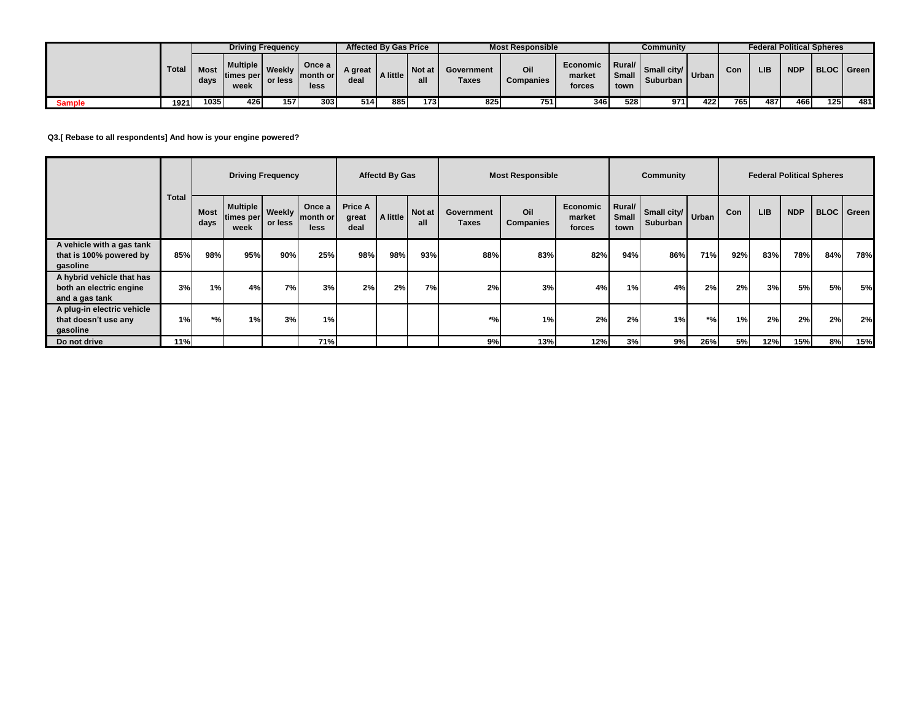|               |              |              |                                        | <b>Driving Frequency</b> |                               | <b>Affected By Gas Price</b> |          |               |                     | <b>Most Responsible</b> |                              |                                   | Community                                           |     |      | <b>Federal Political Spheres</b> |            |                  |     |
|---------------|--------------|--------------|----------------------------------------|--------------------------|-------------------------------|------------------------------|----------|---------------|---------------------|-------------------------|------------------------------|-----------------------------------|-----------------------------------------------------|-----|------|----------------------------------|------------|------------------|-----|
|               | <b>Total</b> | Most<br>days | <b>Multiple I</b><br>times per<br>week | Weekly<br>or less        | Once a<br>Imonth or I<br>less | A great<br>deal              | A little | Not at<br>all | Government<br>Taxes | Oil<br>Companies        | Economic<br>market<br>forces | <b>Rural/I</b><br>Small I<br>town | $\frac{1}{2}$ Small city   Urban<br><b>Suburban</b> |     | Con  | LIB                              | <b>NDP</b> | BLOC Green       |     |
| <b>Sample</b> | 1921         | 10351        | 426                                    | 157                      | 303                           | 514                          | 885      | 173           | 825                 | 751                     | 346                          | 5281                              | 971                                                 | 422 | 765. | 487                              | 466        | 125 <sub>1</sub> | 481 |

**Q3.[ Rebase to all respondents] And how is your engine powered?**

|                                                                        |              |                     |                                                     | <b>Driving Frequency</b> |                            |                                 | <b>Affectd By Gas</b> |               |                     | <b>Most Responsible</b> |                              |                                | Community                       |     |     |            | <b>Federal Political Spheres</b> |                   |     |
|------------------------------------------------------------------------|--------------|---------------------|-----------------------------------------------------|--------------------------|----------------------------|---------------------------------|-----------------------|---------------|---------------------|-------------------------|------------------------------|--------------------------------|---------------------------------|-----|-----|------------|----------------------------------|-------------------|-----|
|                                                                        | <b>Total</b> | <b>Most</b><br>days | Multiple   Weekly  <br>times per or less I"<br>week |                          | Once a<br>month or<br>less | <b>Price A</b><br>great<br>deal | A little              | Not at<br>all | Government<br>Taxes | Oil<br>Companies        | Economic<br>market<br>forces | Rural/<br><b>Small</b><br>town | . Small city/ Urban<br>Suburban |     | Con | <b>LIB</b> | <b>NDP</b>                       | <b>BLOC</b> Green |     |
| A vehicle with a gas tank<br>that is 100% powered by<br>gasoline       | 85%          | 98%                 | 95%                                                 | 90%                      | 25%                        | 98%                             | 98%                   | 93%           | 88%                 | 83%                     | 82%                          | 94%                            | 86%                             | 71% | 92% | 83%        | 78%                              | 84%               | 78% |
| A hybrid vehicle that has<br>both an electric engine<br>and a gas tank | 3%           | 1%                  | 4%                                                  | 7%                       | 3%                         | 2%                              | 2%                    | 7%            | 2%                  | 3%                      | 4%                           | 1%                             | 4%                              | 2%  | 2%  | 3%         | <b>5%</b>                        | 5%                | 5%  |
| A plug-in electric vehicle<br>that doesn't use any<br>gasoline         | 1%           | $*$ %               | 1%                                                  | 3%                       | 1%                         |                                 |                       |               | $*$ %               | 1%                      | 2%                           | 2%                             | 1%                              | *%۱ | 1%  | 2%         | 2%                               | 2%                | 2%  |
| Do not drive                                                           | 11%          |                     |                                                     |                          | 71%                        |                                 |                       |               | 9%                  | 13%                     | 12%                          | 3%                             | 9%                              | 26% | 5%I | 12%        | 15%                              | 8%                | 15% |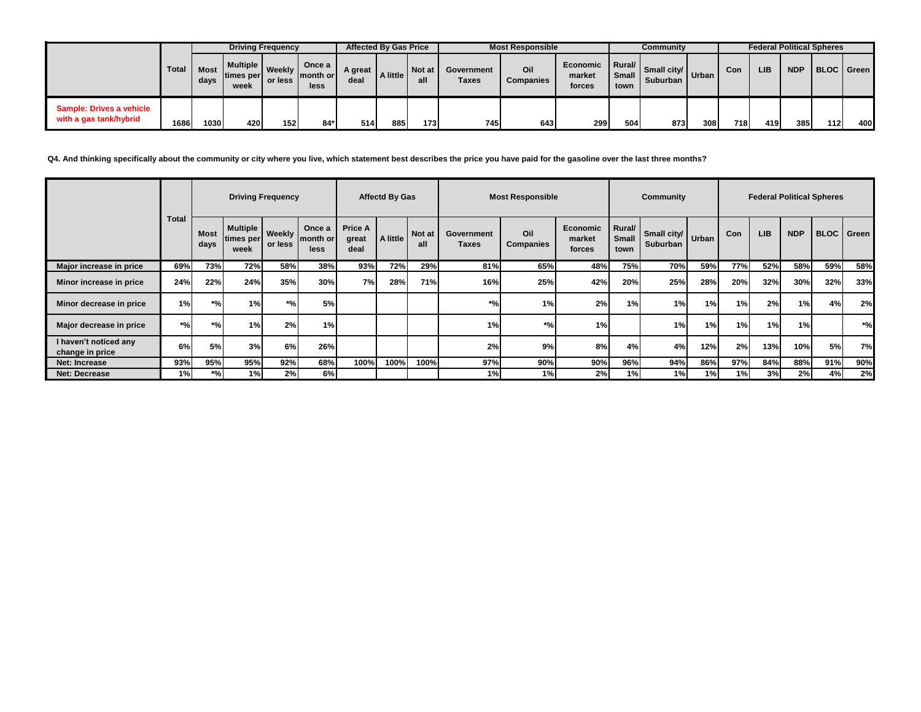|                                                    |       |              |                                      | <b>Driving Frequency</b> |       | <b>Affected By Gas Price</b> |          |               |                            | <b>Most Responsible</b> |                              |                                         | Community                                                                         |            |     | <b>Federal Political Spheres</b> |            |     |            |
|----------------------------------------------------|-------|--------------|--------------------------------------|--------------------------|-------|------------------------------|----------|---------------|----------------------------|-------------------------|------------------------------|-----------------------------------------|-----------------------------------------------------------------------------------|------------|-----|----------------------------------|------------|-----|------------|
|                                                    | Total | Most<br>days | Multiple   Weekly   month or<br>week | or less                  | less  | A great<br>deal              | A little | Not at<br>all | Government<br><b>Taxes</b> | Oil<br><b>Companies</b> | Economic<br>market<br>forces | $\vert$ Rural/ $\vert$<br>Small<br>town | $\begin{array}{c c}\n\hline\n\end{array}$ Small city/<br>Urban<br><b>Suburban</b> |            | Con | <b>LIB</b>                       | <b>NDP</b> |     | BLOC Green |
| Sample: Drives a vehicle<br>with a gas tank/hybrid | 1686  | 1030I        | 420                                  | 152                      | $84*$ | 514                          | 885      | 173           | 745                        | 643                     | 299                          | 504                                     | 873                                                                               | <b>308</b> | 718 | 419                              | 385        | 112 | 400        |

**Q4. And thinking specifically about the community or city where you live, which statement best describes the price you have paid for the gasoline over the last three months?**

|                                          |              |                     |                                | <b>Driving Frequency</b> |                            |                                 | <b>Affectd By Gas</b> |               |                            | <b>Most Responsible</b> |                              |                         | <b>Community</b>                     |     |     |            |            | <b>Federal Political Spheres</b> |                     |
|------------------------------------------|--------------|---------------------|--------------------------------|--------------------------|----------------------------|---------------------------------|-----------------------|---------------|----------------------------|-------------------------|------------------------------|-------------------------|--------------------------------------|-----|-----|------------|------------|----------------------------------|---------------------|
|                                          | <b>Total</b> | <b>Most</b><br>days | Multiple<br>times per <br>week | <b>Weekly</b><br>or less | Once a<br>month or<br>less | <b>Price A</b><br>great<br>deal | A little              | Not at<br>all | Government<br><b>Taxes</b> | Oil<br><b>Companies</b> | Economic<br>market<br>forces | Rural/<br>Small<br>town | Small city/ Urban<br><b>Suburban</b> |     | Con | <b>LIB</b> | <b>NDP</b> |                                  | <b>BLOC</b>   Green |
| Major increase in price                  | 69%          | 73%                 | 72%                            | 58%                      | 38%                        | 93%                             | 72%                   | 29%           | 81%                        | 65%                     | 48%                          | 75%                     | 70%                                  | 59% | 77% | 52%        | 58%        | 59%                              | 58%                 |
| Minor increase in price                  | 24%          | 22%                 | 24%                            | 35%                      | 30%                        | 7%                              | 28%                   | 71%           | 16%                        | 25%                     | 42%                          | 20%                     | 25%                                  | 28% | 20% | 32%        | 30%        | 32%                              | 33%                 |
| Minor decrease in price                  | 1%           | *%                  | 1%                             | *%۱                      | 5%                         |                                 |                       |               | $*$ %                      | 1%                      | 2%                           | 1%                      | 1%                                   | 1%  | 1%  | 2%         | 1%         | 4%                               | 2%                  |
| Major decrease in price                  | *%1          | *%                  | 1%                             | 2%                       | 1%                         |                                 |                       |               | 1%                         | $*$ %                   | 1%                           |                         | 1%                                   | 1%  | 1%  | 1%         | 1%         |                                  | $*$ %               |
| I haven't noticed any<br>change in price | 6%           | 5%                  | 3%                             | 6%                       | 26%                        |                                 |                       |               | 2%                         | 9%                      | 8%                           | 4%                      | 4%                                   | 12% | 2%  | 13%        | 10%        | 5%                               | 7%                  |
| Net: Increase                            | 93%          | 95%                 | 95%                            | 92%                      | 68%                        | 100%                            | 100%                  | 100%          | 97%                        | 90%                     | 90%                          | 96%                     | 94%                                  | 86% | 97% | 84%        | 88%        | 91%                              | 90%                 |
| <b>Net: Decrease</b>                     | 1%           | $*$ %               | 1%I                            | 2%                       | 6%                         |                                 |                       |               | 1%                         | 1%                      | 2%                           | 1%                      | 1%                                   | 1%  | 1%  | 3%         | 2%         | 4%                               | 2%                  |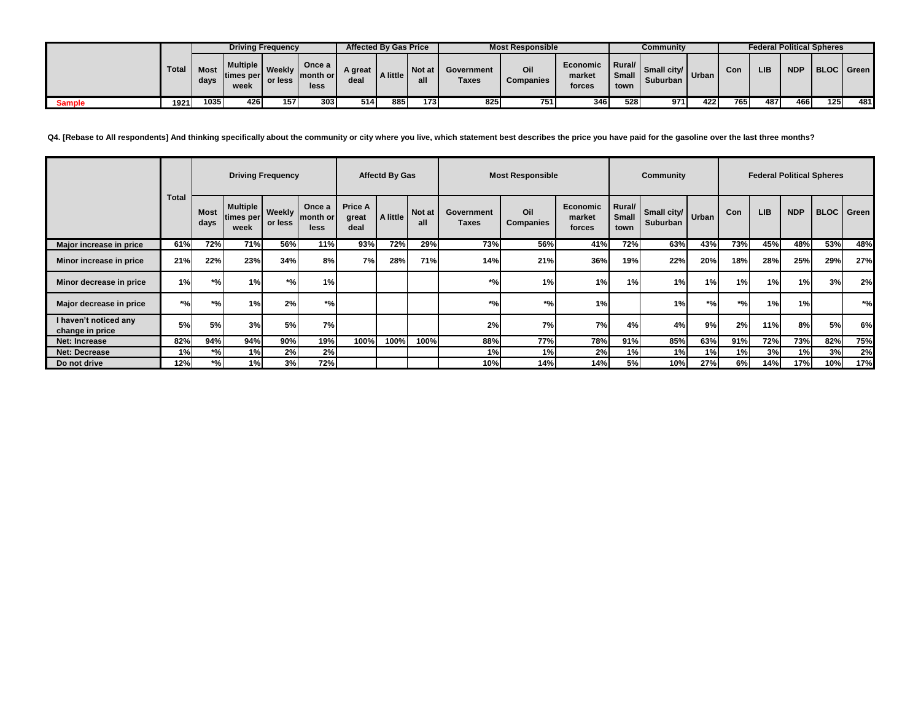|               |       |              |                                        | <b>Driving Frequency</b> |                             | <b>Affected By Gas Price</b> |          |               |                     | <b>Most Responsible</b> |                                     |                                                         | Community                                  |      |      |     |            | <b>Federal Political Spheres</b> |     |
|---------------|-------|--------------|----------------------------------------|--------------------------|-----------------------------|------------------------------|----------|---------------|---------------------|-------------------------|-------------------------------------|---------------------------------------------------------|--------------------------------------------|------|------|-----|------------|----------------------------------|-----|
|               | Total | Most<br>days | <b>Multiple 1</b><br>times per<br>week | Weekly<br>or less        | Once a<br>Imonth or<br>less | A great<br>deal              | A little | Not at<br>all | Government<br>Taxes | Oil<br>Companies        | <b>Economic</b><br>market<br>forces | $\blacksquare$ Rural/ $\blacksquare$<br>Small I<br>town | $\frac{1}{2}$ Small city Urban<br>Suburban |      | Con  | LIB | <b>NDP</b> | BLOC   Green                     |     |
| <b>Sample</b> | 1921  | 1035         | 426                                    | 157                      | 303 <sub>1</sub>            | 514                          | 885 I    | 173.          | 825                 | 751                     | 346                                 | 5281                                                    | 971                                        | 4221 | 765. | 487 | 466        | 125                              | 481 |

**Q4. [Rebase to All respondents] And thinking specifically about the community or city where you live, which statement best describes the price you have paid for the gasoline over the last three months?**

|                                          |              |                     |                                  | <b>Driving Frequency</b> |                            |                                 | <b>Affectd By Gas</b> |                      |                     | <b>Most Responsible</b> |                                     |                         | Community                              |       |       |            |            | <b>Federal Political Spheres</b> |                   |
|------------------------------------------|--------------|---------------------|----------------------------------|--------------------------|----------------------------|---------------------------------|-----------------------|----------------------|---------------------|-------------------------|-------------------------------------|-------------------------|----------------------------------------|-------|-------|------------|------------|----------------------------------|-------------------|
|                                          | <b>Total</b> | <b>Most</b><br>days | Multiple  <br>.imes per∥<br>week | Weekly<br>or less        | Once a<br>month or<br>less | <b>Price A</b><br>great<br>deal | A little              | <b>Not at</b><br>all | Government<br>Taxes | Oil<br><b>Companies</b> | <b>Economic</b><br>market<br>forces | Rural/<br>Small<br>town | 1 Small city/ Urban<br><b>Suburban</b> |       | Con   | <b>LIB</b> | <b>NDP</b> |                                  | <b>BLOC</b> Green |
| Major increase in price                  | 61%          | 72%                 | 71%                              | 56%                      | 11%                        | 93%                             | 72%                   | 29%                  | 73%                 | 56%                     | 41%                                 | 72%                     | 63%                                    | 43%   | 73%   | 45%        | 48%        | 53%                              | 48%               |
| Minor increase in price                  | 21%          | 22%                 | 23%                              | 34%                      | 8%                         | 7%                              | 28%                   | 71%                  | 14%                 | 21%                     | 36%                                 | 19%                     | 22%                                    | 20%   | 18%   | 28%        | 25%        | 29%                              | 27%               |
| Minor decrease in price                  | 1%           | $*961$              | 1%1                              | *%                       | 1%                         |                                 |                       |                      | $*$ %               | 1%                      | 1%                                  | 1%                      | 1%                                     | 1%    | 1%    | 1%         | 1%         | 3%                               | 2%                |
| Major decrease in price                  | $*$ %        | $*$ %               | 1%                               | 2%                       | $*$ %                      |                                 |                       |                      | $*$ %               | $*$ %                   | 1%                                  |                         | 1%                                     | $*$ % | $*$ % | 1%         | 1%         |                                  | $*$ %             |
| I haven't noticed any<br>change in price | 5%           | 5%                  | 3%                               | 5%                       | <b>7%</b>                  |                                 |                       |                      | 2%                  | 7%                      | 7%                                  | 4%                      | 4%                                     | 9%    | 2%    | 11%        | 8%I        | 5%                               | 6%                |
| <b>Net: Increase</b>                     | 82%          | 94%                 | 94%                              | 90%                      | 19%                        | 100%                            | 100%                  | 100%                 | 88%                 | 77%                     | 78%                                 | 91%                     | 85%                                    | 63%   | 91%   | 72%        | 73%        | 82%                              | 75%               |
| <b>Net: Decrease</b>                     | 1%           | *%۱                 | 1%                               | 2%                       | 2%                         |                                 |                       |                      | 1%                  | 1%                      | 2%                                  | 1%                      | 1%                                     | 1%    | 1%    | 3%         | 1%         | 3%                               | 2%                |
| Do not drive                             | 12%          | $*$ %               | 1%                               | 3%                       | 72%                        |                                 |                       |                      | 10%                 | 14%                     | 14%                                 | 5%                      | 10%                                    | 27%   | 6%    | 14%        | 17%        | 10%                              | 17%               |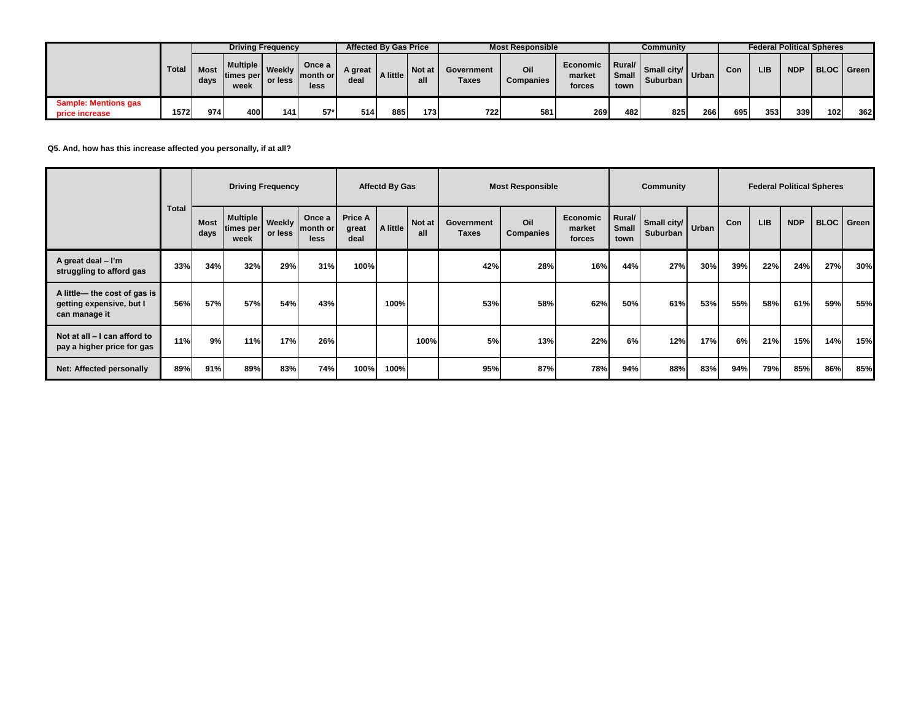|                                                      |              |      |                                        | <b>Driving Frequency</b> |                                       | <b>Affected By Gas Price</b> |          |        |                     | <b>Most Responsible</b> |                              |                                  | Community                 |        |     | <b>Federal Political Spheres</b> |            |                     |     |
|------------------------------------------------------|--------------|------|----------------------------------------|--------------------------|---------------------------------------|------------------------------|----------|--------|---------------------|-------------------------|------------------------------|----------------------------------|---------------------------|--------|-----|----------------------------------|------------|---------------------|-----|
|                                                      | Total   Most | days | <b>Multiple I</b><br>times per<br>week | Weekly<br>or less        | Once a<br><b>Sumonth or L</b><br>less | A great<br>deal              | A little | Not at | Government<br>Taxes | Oil<br><b>Companies</b> | Economic<br>market<br>forces | <b>I</b> Rural/<br>Small<br>town | Small city/<br>Suburban I | Urban. | Con | LIB                              | <b>NDP</b> | <b>BLOC</b>   Green |     |
| <b>Sample: Mentions gas</b><br><b>price increase</b> | 1572         | 9741 | 400 l                                  | 141                      | 57*                                   | 5141                         | 885      | $1731$ | 722                 | 581                     | 2691                         | 482                              | 825                       | 266    | 695 | 353                              | 339        | 102                 | 362 |

**Q5. And, how has this increase affected you personally, if at all?**

|                                                                           |              |                     |                                                             | <b>Driving Frequency</b> |      |                                 | <b>Affectd By Gas</b> |               |                     | <b>Most Responsible</b> |                                     |                         | Community                              |     |     |            |            | <b>Federal Political Spheres</b> |                   |
|---------------------------------------------------------------------------|--------------|---------------------|-------------------------------------------------------------|--------------------------|------|---------------------------------|-----------------------|---------------|---------------------|-------------------------|-------------------------------------|-------------------------|----------------------------------------|-----|-----|------------|------------|----------------------------------|-------------------|
|                                                                           | <b>Total</b> | <b>Most</b><br>days | Multiple   Weekly   month or<br>times per or less I<br>week |                          | less | <b>Price A</b><br>great<br>deal | A little              | Not at<br>all | Government<br>Taxes | Oil<br><b>Companies</b> | <b>Economic</b><br>market<br>forces | Rural/<br>Small<br>town | . Small city/ Urban<br><b>Suburban</b> |     | Con | <b>LIB</b> | <b>NDP</b> |                                  | <b>BLOC</b> Green |
| A great deal $-1'm$<br>struggling to afford gas                           | 33%          | 34%                 | 32%                                                         | 29%                      | 31%  | 100%                            |                       |               | 42%                 | 28%                     | 16%                                 | 44%                     | 27%                                    | 30% | 39% | 22%        | 24%        | 27%                              | 30%               |
| A little- the cost of gas is<br>getting expensive, but I<br>can manage it | 56%          | 57%                 | 57%                                                         | 54%                      | 43%  |                                 | 100%                  |               | 53%                 | 58%                     | 62%                                 | 50%                     | 61%                                    | 53% | 55% | 58%        | 61%        | 59%                              | 55%               |
| Not at all - I can afford to<br>pay a higher price for gas                | 11%          | 9%                  | 11%                                                         | 17%                      | 26%  |                                 |                       | 100%          | 5%                  | 13%                     | 22%                                 | 6%                      | 12%                                    | 17% | 6%  | 21%        | 15%        | 14%                              | 15%               |
| <b>Net: Affected personally</b>                                           | 89%          | 91%                 | 89%                                                         | 83%                      | 74%  | 100%                            | 100%                  |               | 95%                 | 87%                     | 78%                                 | 94%                     | 88%                                    | 83% | 94% | 79%        | 85%        | 86%                              | 85%               |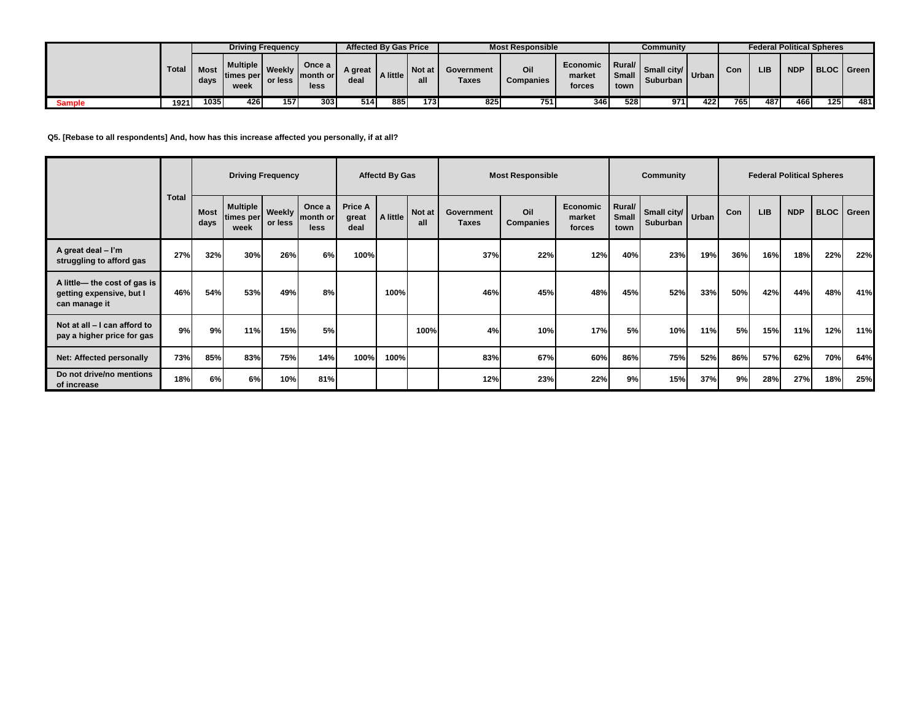|        |              |              |                                      | <b>Driving Frequency</b> |                             | <b>Affected By Gas Price</b> |          |               |                     | <b>Most Responsible</b> |                              |                              | Community                                  |      |     | <b>Federal Political Spheres</b> |            |              |     |
|--------|--------------|--------------|--------------------------------------|--------------------------|-----------------------------|------------------------------|----------|---------------|---------------------|-------------------------|------------------------------|------------------------------|--------------------------------------------|------|-----|----------------------------------|------------|--------------|-----|
|        | <b>Total</b> | Most<br>days | <b>Multiple</b><br>times per<br>week | Weekly<br>or less        | Once a<br>Imonth or<br>less | A great<br>deal              | A little | Not at<br>all | Government<br>Taxes | Oil<br>Companies        | Economic<br>market<br>forces | I Rural/I<br>Small I<br>town | $\frac{1}{2}$ Small city Urban<br>Suburban |      | Con | LIB                              | <b>NDP</b> | BLOC   Green |     |
| Sample | 1921         | 1035         | 426                                  | 157                      | 303                         | 514                          | 885      | 173           | 825                 | 751                     | 346                          | 528                          | 971                                        | 4221 | 765 | 487                              | 466        | 125          | 481 |

**Q5. [Rebase to all respondents] And, how has this increase affected you personally, if at all?**

|                                                                          |              |              |                                        | <b>Driving Frequency</b> |                            |                                 | <b>Affectd By Gas</b> |               |                     | <b>Most Responsible</b> |                                     |                         | Community                     |     |           |            |            | <b>Federal Political Spheres</b> |       |
|--------------------------------------------------------------------------|--------------|--------------|----------------------------------------|--------------------------|----------------------------|---------------------------------|-----------------------|---------------|---------------------|-------------------------|-------------------------------------|-------------------------|-------------------------------|-----|-----------|------------|------------|----------------------------------|-------|
|                                                                          | <b>Total</b> | Most<br>days | Multiple   Weekly<br>times per<br>week | or less                  | Once a<br>month or<br>less | <b>Price A</b><br>great<br>deal | A little              | Not at<br>all | Government<br>Taxes | Oil<br>Companies        | <b>Economic</b><br>market<br>forces | Rural/<br>Small<br>town | Small city/ Urban<br>Suburban |     | Con       | <b>LIB</b> | <b>NDP</b> | <b>BLOC</b>                      | Green |
| A great deal - I'm<br>struggling to afford gas                           | 27%          | 32%          | 30%                                    | 26%                      | 6%                         | 100%                            |                       |               | 37%                 | 22%                     | 12%                                 | 40%                     | 23%                           | 19% | 36%       | 16%        | 18%        | 22%                              | 22%   |
| A little-the cost of gas is<br>getting expensive, but I<br>can manage it | 46%          | 54%          | 53%                                    | 49%                      | 8%                         |                                 | 100%                  |               | 46%                 | 45%                     | 48%                                 | 45%                     | 52%                           | 33% | 50%       | 42%        | 44%        | 48%                              | 41%   |
| Not at all - I can afford to<br>pay a higher price for gas               | 9%           | 9%           | 11%                                    | 15%                      | 5%                         |                                 |                       | 100%          | 4%                  | 10%                     | 17%                                 | <b>5%</b>               | 10%                           | 11% | <b>5%</b> | 15%        | 11%        | 12%                              | 11%   |
| <b>Net: Affected personally</b>                                          | 73%          | 85%          | 83%                                    | 75%                      | 14%                        | 100%                            | 100%                  |               | 83%                 | 67%                     | 60%                                 | 86%                     | 75%                           | 52% | 86%       | 57%        | 62%        | 70%                              | 64%   |
| Do not drive/no mentions<br>of increase                                  | 18%          | 6%           | 6%                                     | 10%                      | 81%                        |                                 |                       |               | 12%                 | 23%                     | 22%                                 | 9%                      | 15%                           | 37% | 9%        | 28%        | 27%        | 18%                              | 25%   |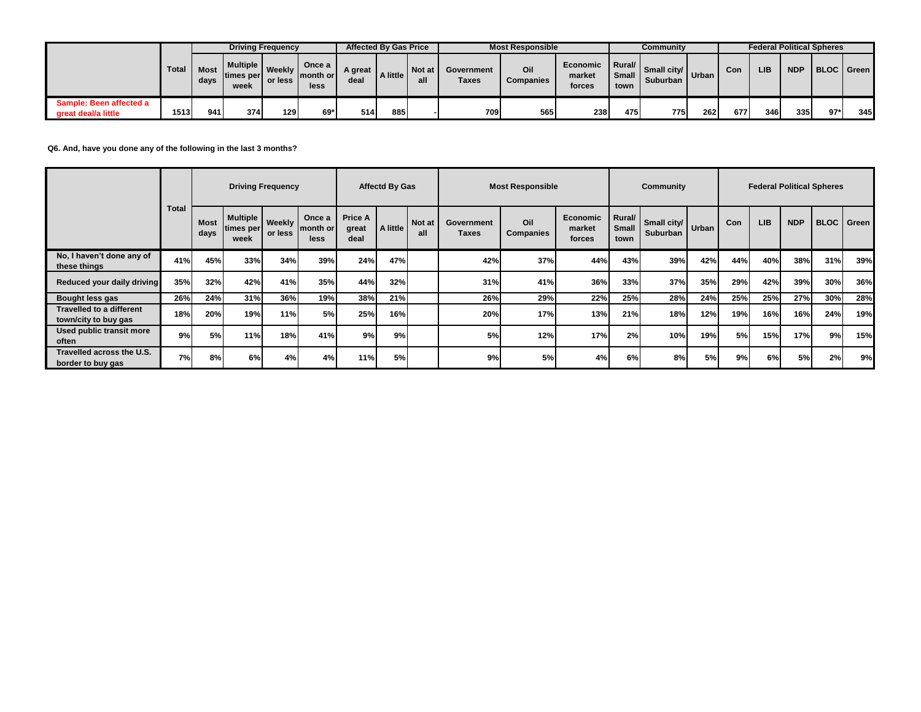|                                                |              |      |                                 | <b>Driving Frequency</b> |                                | <b>Affected By Gas Price</b> |          |          |                            | <b>Most Responsible</b> |                              |                              | Community               |         |     | <b>Federal Political Spheres</b> |            |                     |     |
|------------------------------------------------|--------------|------|---------------------------------|--------------------------|--------------------------------|------------------------------|----------|----------|----------------------------|-------------------------|------------------------------|------------------------------|-------------------------|---------|-----|----------------------------------|------------|---------------------|-----|
|                                                | Total   Most | days | Multiple L<br>times per<br>week | <b>Weekly</b><br>or less | Once a<br>'   month or<br>less | A great<br>deal              | A little | I Not at | Government<br><b>Taxes</b> | Oil<br><b>Companies</b> | Economic<br>market<br>forces | │Rural/ │<br>Small  <br>town | Small city/<br>Suburban | " Urban | Con | LIB                              | <b>NDP</b> | <b>BLOC</b>   Green |     |
| Sample: Been affected a<br>great deal/a little | 1513         | 941  | 374                             | 1291                     | 69*                            | 514                          | 885      |          | 709                        | 565                     | 238                          | 475                          | 7751                    | 2621    | 677 | 346                              | 3351       | $97*$               | 345 |

**Q6. And, have you done any of the following in the last 3 months?**

|                                                  |              |                     | <b>Driving Frequency</b>             |         |      |                          | <b>Affectd By Gas</b> |                      |                     | <b>Most Responsible</b> |                              |                         | Community                                  |     |     |            |            | <b>Federal Political Spheres</b> |     |
|--------------------------------------------------|--------------|---------------------|--------------------------------------|---------|------|--------------------------|-----------------------|----------------------|---------------------|-------------------------|------------------------------|-------------------------|--------------------------------------------|-----|-----|------------|------------|----------------------------------|-----|
|                                                  | <b>Total</b> | <b>Most</b><br>days | Multiple   Weekly   month or<br>week | or less | less | Price A<br>great<br>deal | A little              | <b>Not at</b><br>all | Government<br>Taxes | Oil<br>Companies        | Economic<br>market<br>forces | Rural/<br>Small<br>town | $\therefore$ Small city/ Urban<br>Suburban |     | Con | <b>LIB</b> | <b>NDP</b> | <b>BLOC</b> Green                |     |
| No, I haven't done any of<br>these things        | 41%          | 45%                 | 33%                                  | 34%     | 39%  | 24%                      | 47%                   |                      | 42%                 | 37%                     | 44%                          | 43%                     | 39%                                        | 42% | 44% | 40%        | 38%        | 31%                              | 39% |
| Reduced your daily driving                       | 35%          | 32%                 | 42%                                  | 41%     | 35%  | 44%                      | 32%                   |                      | 31%                 | 41%                     | 36%                          | 33%                     | 37%                                        | 35% | 29% | 42%        | 39%        | 30%                              | 36% |
| Bought less gas                                  | 26%          | 24%                 | 31%                                  | 36%     | 19%  | 38%                      | 21%                   |                      | 26%                 | 29%                     | 22%                          | 25%                     | 28%                                        | 24% | 25% | 25%        | 27%        | 30%                              | 28% |
| Travelled to a different<br>town/city to buy gas | 18%          | 20%                 | 19%                                  | 11%     | 5%   | 25%                      | 16%                   |                      | 20%                 | 17%                     | 13%                          | 21%                     | 18%                                        | 12% | 19% | 16%        | 16%        | 24%                              | 19% |
| Used public transit more<br>often                | 9%           | 5%                  | 11%                                  | 18%     | 41%  | 9%                       | 9%l                   |                      | 5%                  | 12%                     | 17%                          | 2%                      | 10%                                        | 19% | 5%  | 15%        | 17%        | 9%                               | 15% |
| Travelled across the U.S.<br>border to buy gas   | 7%           | 8%                  | 6%                                   | 4%      | 4%   | 11%                      | 5%l                   |                      | 9%                  | 5%                      | 4%                           | 6%                      | 8%                                         | 5%  | 9%  | 6%         | 5%l        | 2%                               | 9%  |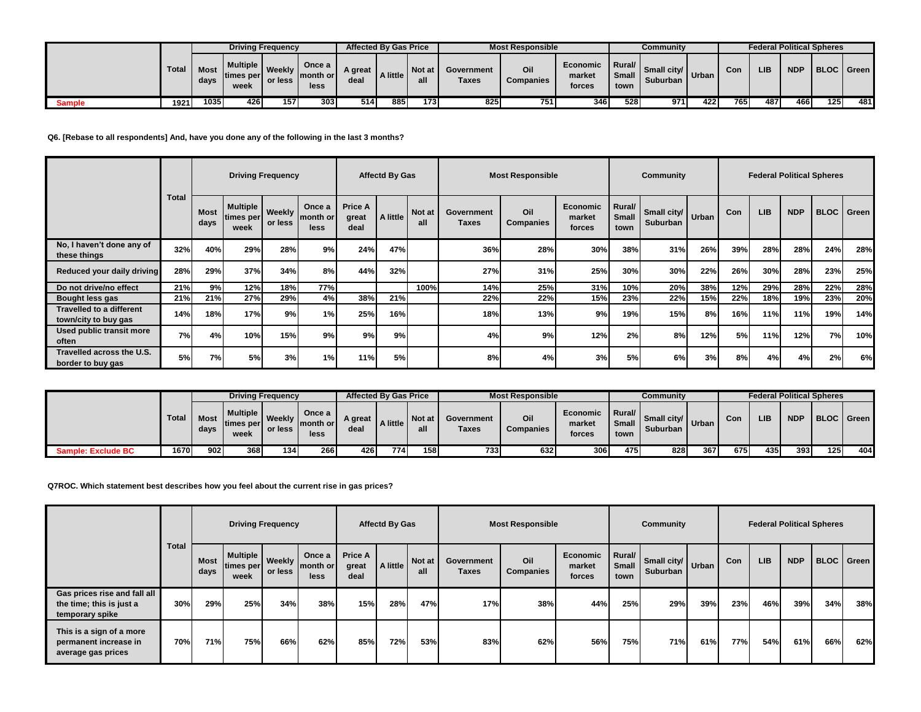|        |       |                     |                                 | <b>Driving Frequency</b> |                                |                 | <b>Affected By Gas Price</b> |        |                     | <b>Most Responsible</b> |                              |                                | Community                                  |       |     | <b>Federal Political Spheres</b> |            |            |     |
|--------|-------|---------------------|---------------------------------|--------------------------|--------------------------------|-----------------|------------------------------|--------|---------------------|-------------------------|------------------------------|--------------------------------|--------------------------------------------|-------|-----|----------------------------------|------------|------------|-----|
|        | Total | <b>Most</b><br>days | Multiple 1<br>times per<br>week | Weekly<br>or less        | Once a<br>I month or l<br>less | A great<br>deal | A little                     | Not at | Government<br>Taxes | Oil<br>Companies        | Economic<br>market<br>forces | Rural/<br><b>Small</b><br>town | $\frac{1}{2}$ Small city Urban<br>Suburban |       | Con | <b>LIB</b>                       | <b>NDP</b> | BLOC Green |     |
| Sample | 1921  | 10351               | 426 <sub>1</sub>                | 157                      | 303                            | 514             | 885                          | 173 I  | 825                 | 751                     | 346                          | 528                            | 971                                        | 422 ! | 765 | 487                              | 466        | 1251       | 481 |

**Q6. [Rebase to all respondents] And, have you done any of the following in the last 3 months?**

|                                                         |              |                     |                                        | <b>Driving Frequency</b> |                            |                                 | <b>Affectd By Gas</b> |               |                            | <b>Most Responsible</b> |                                     |                         | Community                     |     |     |            |            | <b>Federal Political Spheres</b> |                   |
|---------------------------------------------------------|--------------|---------------------|----------------------------------------|--------------------------|----------------------------|---------------------------------|-----------------------|---------------|----------------------------|-------------------------|-------------------------------------|-------------------------|-------------------------------|-----|-----|------------|------------|----------------------------------|-------------------|
|                                                         | <b>Total</b> | <b>Most</b><br>days | Multiple   Weekly<br>times per<br>week | or less                  | Once a<br>month or<br>less | <b>Price A</b><br>great<br>deal | A little              | Not at<br>all | Government<br><b>Taxes</b> | Oil<br><b>Companies</b> | <b>Economic</b><br>market<br>forces | Rural/<br>Small<br>town | Small city/ Urban<br>Suburban |     | Con | <b>LIB</b> | <b>NDP</b> |                                  | <b>BLOC</b> Green |
| No, I haven't done any of<br>these things               | 32%          | 40%                 | 29%                                    | 28%                      | 9%                         | 24%                             | 47%                   |               | 36%                        | 28%                     | 30%                                 | 38%                     | 31%                           | 26% | 39% | 28%        | 28%        | 24%                              | 28%               |
| Reduced your daily driving                              | 28%          | 29%                 | 37%                                    | 34%                      | 8%                         | 44%                             | 32%                   |               | 27%                        | 31%                     | 25%                                 | 30%                     | 30%                           | 22% | 26% | 30%        | 28%        | 23%                              | 25%               |
| Do not drive/no effect                                  | 21%          | 9%                  | 12%                                    | 18%                      | 77%                        |                                 |                       | 100%          | 14%                        | 25%                     | 31%                                 | <b>10%</b>              | 20%                           | 38% | 12% | 29%        | 28%        | 22%                              | 28%               |
| Bought less gas                                         | 21%          | 21%                 | 27%                                    | 29%                      | 4%                         | 38%                             | 21%                   |               | 22%                        | 22%                     | 15%                                 | 23%                     | 22%                           | 15% | 22% | 18%        | 19%        | 23%                              | 20%               |
| <b>Travelled to a different</b><br>town/city to buy gas | 14%          | 18%                 | 17%                                    | 9%                       | 1%                         | 25%                             | 16%                   |               | 18%                        | 13%                     | 9%                                  | 19%                     | 15%                           | 8%  | 16% | 11%        | 11%        | 19%                              | 14%               |
| Used public transit more<br>often                       | 7%           | 4%                  | 10%                                    | 15%                      | 9%                         | 9%                              | 9%                    |               | 4%                         | 9%                      | 12%                                 | 2%                      | 8%                            | 12% | 5%  | 11%        | 12%        | 7%                               | 10%               |
| Travelled across the U.S.<br>border to buy gas          | 5%           | 7%                  | 5%I                                    | 3%                       | 1%                         | 11%                             | <b>5%</b>             |               | 8%                         | 4%                      | 3%                                  | 5%                      | 6%                            | 3%  | 8%  | 4%         | 4%         | 2%                               | 6%                |

|                           |              |                     |                                      | <b>Driving Frequency</b> |                            | <b>Affected By Gas Price</b> |          |        |                     | <b>Most Responsible</b> |                                     |                                                              | Communitv                                     |      |      |            | <b>Federal Political Spheres</b> |            |     |
|---------------------------|--------------|---------------------|--------------------------------------|--------------------------|----------------------------|------------------------------|----------|--------|---------------------|-------------------------|-------------------------------------|--------------------------------------------------------------|-----------------------------------------------|------|------|------------|----------------------------------|------------|-----|
|                           | <b>Total</b> | <b>Most</b><br>days | <b>Multiple</b><br>times per<br>week | Weekly<br>or less        | Once a<br>month or<br>less | A great<br>deal              | A little | Not at | Government<br>Taxes | Oil<br><b>Companies</b> | <b>Economic</b><br>market<br>forces | $\blacksquare$ Rural/ $\blacksquare$<br><b>Small</b><br>town | $\frac{1}{2}$ Small city/ Urban I<br>Suburban |      | Con  | <b>LIB</b> | <b>NDP</b>                       | BLOC Green |     |
| <b>Sample: Exclude BC</b> | 1670         | 902I                | 368                                  | 134 <sup>l</sup>         | <b>266</b>                 | 426                          | 774      | 158    | 7331                | 632                     | 306                                 | 475                                                          | 828                                           | 3671 | 675. | 435        | 393                              | 125        | 404 |

**Q7ROC. Which statement best describes how you feel about the current rise in gas prices?**

|                                                                             |              |              |                                          | <b>Driving Frequency</b> |                            |                                 | <b>Affectd By Gas</b> |               |                     | <b>Most Responsible</b> |                              |                         | Community                         |     |            |            | <b>Federal Political Spheres</b> |     |                   |
|-----------------------------------------------------------------------------|--------------|--------------|------------------------------------------|--------------------------|----------------------------|---------------------------------|-----------------------|---------------|---------------------|-------------------------|------------------------------|-------------------------|-----------------------------------|-----|------------|------------|----------------------------------|-----|-------------------|
|                                                                             | <b>Total</b> | Most<br>days | 1 Multiple   Weekly<br>times per<br>week | or less                  | Once a<br>month or<br>less | <b>Price A</b><br>great<br>deal | A little              | Not at<br>all | Government<br>Taxes | Oil<br>Companies        | Economic<br>market<br>forces | Rural/<br>Small<br>town | . Small city/ Urban I<br>Suburban |     | <b>Con</b> | <b>LIB</b> | <b>NDP</b>                       |     | <b>BLOC</b> Green |
| Gas prices rise and fall all<br>the time; this is just a<br>temporary spike | 30%          | 29%          | 25%                                      | 34%                      | 38%                        | 15%                             | 28%                   | 47%           | 17%                 | 38%                     | 44%                          | 25%                     | 29%                               | 39% | 23%        | 46%        | 39%                              | 34% | 38%               |
| This is a sign of a more<br>permanent increase in<br>average gas prices     | 70%          | 71%          | 75%                                      | 66%                      | 62%                        | 85%                             | 72%                   | 53%           | 83%                 | 62%                     | 56%                          | 75%                     | 71%                               | 61% | 77%        | 54%        | 61%                              | 66% | 62%               |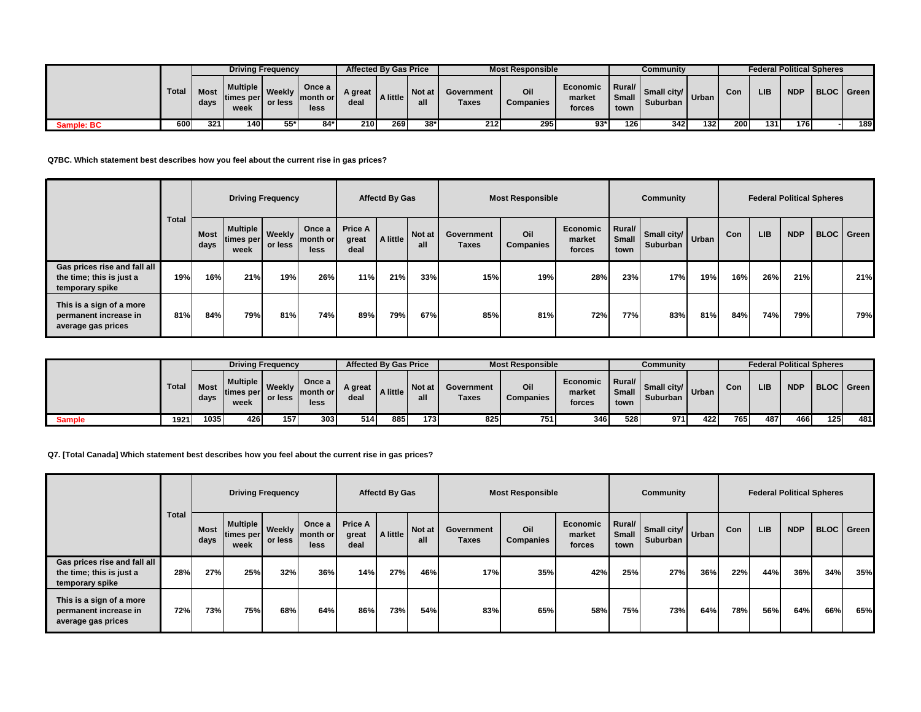|                   |              |              |                                      | <b>Driving Frequency</b> |                                    |                 | <b>Affected By Gas Price</b> |               |                     | <b>Most Responsible</b> |                              |                                      | Community                            |             |     | <b>Federal Political Spheres</b> |            |            |
|-------------------|--------------|--------------|--------------------------------------|--------------------------|------------------------------------|-----------------|------------------------------|---------------|---------------------|-------------------------|------------------------------|--------------------------------------|--------------------------------------|-------------|-----|----------------------------------|------------|------------|
|                   | <b>Total</b> | Most<br>days | <b>Multiple</b><br>times per<br>week | Weekly<br>or less        | Once a<br><b>∣month or</b><br>less | A great<br>deal | A little                     | Not at<br>all | Government<br>Taxes | Oil<br>Companies        | Economic<br>market<br>forces | <b>I</b> Rural/ I<br>Small I<br>town | <b>Small city/</b> Urban<br>Suburban |             | Con | LIB                              | <b>NDP</b> | BLOC Green |
| <b>Sample: BC</b> | 600          | 3211         | 140                                  | $55*$                    | 84*                                | 210             | <b>2691</b>                  | $38*$         | 212                 | 295                     | $93*$                        | 126                                  | 3421                                 | <b>1321</b> | 200 | 131                              | 176        | 189        |

**Q7BC. Which statement best describes how you feel about the current rise in gas prices?**

|                                                                             |              |                     |                                        | <b>Driving Frequency</b> |                            |                                 | <b>Affectd By Gas</b> |                      |                            | <b>Most Responsible</b> |                              |                         | Community               |       |     |            | <b>Federal Political Spheres</b> |                   |
|-----------------------------------------------------------------------------|--------------|---------------------|----------------------------------------|--------------------------|----------------------------|---------------------------------|-----------------------|----------------------|----------------------------|-------------------------|------------------------------|-------------------------|-------------------------|-------|-----|------------|----------------------------------|-------------------|
|                                                                             | <b>Total</b> | <b>Most</b><br>days | Multiple Weekly<br>times per l<br>week | or less                  | Once a<br>month or<br>less | <b>Price A</b><br>great<br>deal | A little              | <b>Not at</b><br>all | Government<br><b>Taxes</b> | Oil<br><b>Companies</b> | Economic<br>market<br>forces | Rural/<br>Small<br>town | Small city/<br>Suburban | Urban | Con | <b>LIB</b> | <b>NDP</b>                       | <b>BLOC</b> Green |
| Gas prices rise and fall all<br>the time; this is just a<br>temporary spike | 19%          | 16%                 | 21%                                    | 19%                      | 26%                        | 11%                             | 21%                   | 33%                  | 15%                        | 19%                     | 28%                          | 23%                     | 17%                     | 19%   | 16% | 26%        | 21%                              | 21%               |
| This is a sign of a more<br>permanent increase in<br>average gas prices     | 81%          | 84%                 | 79%                                    | 81%                      | 74%                        | 89%                             | 79%                   | 67%                  | 85%                        | 81%                     | 72%                          | 77%                     | 83%                     | 81%   | 84% | 74%        | 79%                              | 79%               |

|               |              |                     |                                        | <b>Driving Frequency</b> |                             | <b>Affected By Gas Price</b> |          |        |                     | <b>Most Responsible</b> |                              |                                    | Community                           |     |      |     |            | <b>Federal Political Spheres</b> |     |
|---------------|--------------|---------------------|----------------------------------------|--------------------------|-----------------------------|------------------------------|----------|--------|---------------------|-------------------------|------------------------------|------------------------------------|-------------------------------------|-----|------|-----|------------|----------------------------------|-----|
|               | <b>Total</b> | <b>Most</b><br>days | <b>Multiple I</b><br>times per<br>week | Weekly<br>or less        | Once a<br>Imonth or<br>less | <b>A</b> great<br>deal       | A little | Not at | Government<br>Taxes | Oil<br>Companies        | Economic<br>market<br>forces | <b>I</b> Rural/<br>Small I<br>town | <b>Small city</b> Urban<br>Suburban |     | Con  | LIB | <b>NDP</b> | BLOC Green                       |     |
| <b>Sample</b> | 1921         | 1035                | 426                                    | 157                      | 3031                        | 514                          | 885      | 173 I  | 825                 | 751                     | 346                          | 528                                | 971                                 | 422 | 765. | 487 | 466        | 125I                             | 481 |

**Q7. [Total Canada] Which statement best describes how you feel about the current rise in gas prices?**

|                                                                             |              |              |                                                       | <b>Driving Frequency</b> |                            |                                 | <b>Affectd By Gas</b> |               |                     | <b>Most Responsible</b> |                              |                         | Community                       |     |     |            | <b>Federal Political Spheres</b> |                   |     |
|-----------------------------------------------------------------------------|--------------|--------------|-------------------------------------------------------|--------------------------|----------------------------|---------------------------------|-----------------------|---------------|---------------------|-------------------------|------------------------------|-------------------------|---------------------------------|-----|-----|------------|----------------------------------|-------------------|-----|
|                                                                             | <b>Total</b> | Most<br>days | I Multiple   Weekly  <br>times per or less I"<br>week |                          | Once a<br>month or<br>less | <b>Price A</b><br>great<br>deal | A little              | Not at<br>all | Government<br>Taxes | Oil<br><b>Companies</b> | Economic<br>market<br>forces | Rural/<br>Small<br>town | Small city/ Urban I<br>Suburban |     | Con | <b>LIB</b> | <b>NDP</b>                       | <b>BLOC</b> Green |     |
| Gas prices rise and fall all<br>the time; this is just a<br>temporary spike | 28%          | 27%          | 25%                                                   | 32%                      | 36%                        | 14%                             | 27%                   | 46%           | 17%                 | 35%                     | 42%                          | 25%                     | 27%                             | 36% | 22% | 44%        | 36%                              | 34%               | 35% |
| This is a sign of a more<br>permanent increase in<br>average gas prices     | 72%          | 73%          | 75%                                                   | 68%                      | 64%                        | 86%                             | 73%                   | 54%           | 83%                 | 65%                     | 58%                          | 75%                     | 73%                             | 64% | 78% | 56%        | 64%                              | 66%               | 65% |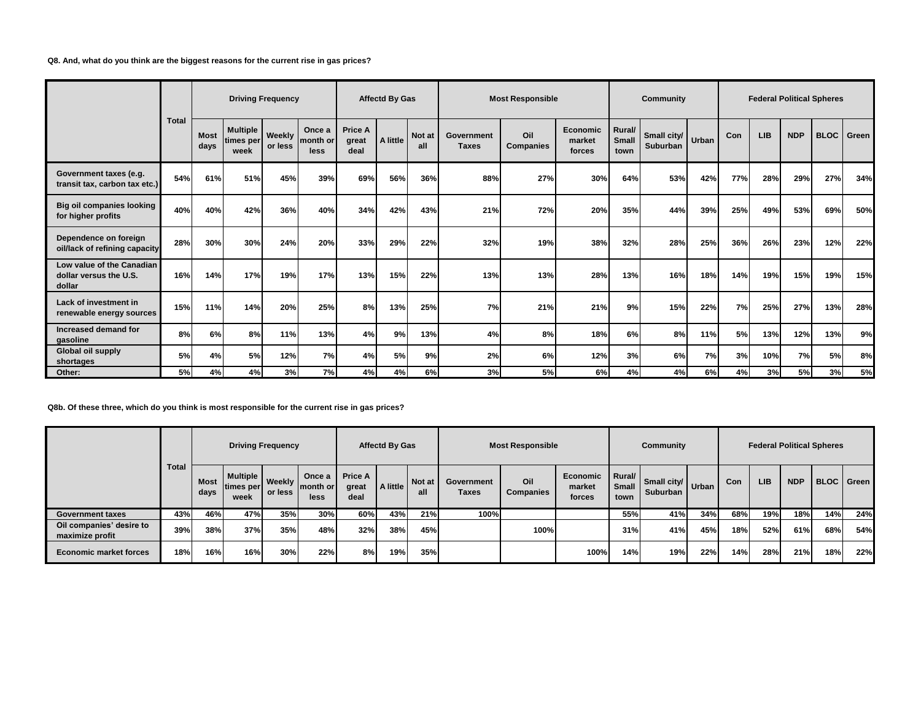**Q8. And, what do you think are the biggest reasons for the current rise in gas prices?**

|                                                               |              |                     |                                      | <b>Driving Frequency</b> |                            |                                 | <b>Affectd By Gas</b> |               |                            | <b>Most Responsible</b> |                              |                                | Community                     |     |     |            |            | <b>Federal Political Spheres</b> |       |
|---------------------------------------------------------------|--------------|---------------------|--------------------------------------|--------------------------|----------------------------|---------------------------------|-----------------------|---------------|----------------------------|-------------------------|------------------------------|--------------------------------|-------------------------------|-----|-----|------------|------------|----------------------------------|-------|
|                                                               | <b>Total</b> | <b>Most</b><br>days | <b>Multiple</b><br>times per<br>week | Weekly<br>or less        | Once a<br>month or<br>less | <b>Price A</b><br>great<br>deal | A little              | Not at<br>all | Government<br><b>Taxes</b> | Oil<br><b>Companies</b> | Economic<br>market<br>forces | Rural/<br><b>Small</b><br>town | Small city/ Urban<br>Suburban |     | Con | <b>LIB</b> | <b>NDP</b> | <b>BLOC</b>                      | Green |
| Government taxes (e.g.<br>transit tax, carbon tax etc.)       | 54%          | 61%                 | 51%                                  | 45%                      | 39%                        | 69%                             | 56%                   | 36%           | 88%                        | 27%                     | 30%                          | 64%                            | 53%                           | 42% | 77% | 28%        | 29%        | 27%                              | 34%   |
| <b>Big oil companies looking</b><br>for higher profits        | 40%          | 40%                 | 42%                                  | 36%                      | 40%                        | 34%                             | 42%                   | 43%           | 21%                        | 72%                     | 20%                          | 35%                            | 44%                           | 39% | 25% | 49%        | 53%        | 69%                              | 50%   |
| Dependence on foreign<br>oil/lack of refining capacity        | 28%          | 30%                 | 30%                                  | 24%                      | 20%                        | 33%                             | 29%                   | 22%           | 32%                        | 19%                     | 38%                          | 32%                            | 28%                           | 25% | 36% | 26%        | 23%        | 12%                              | 22%   |
| Low value of the Canadian<br>dollar versus the U.S.<br>dollar | 16%          | 14%                 | 17%                                  | 19%                      | 17%                        | 13%                             | 15%                   | 22%           | 13%                        | 13%                     | 28%                          | 13%                            | 16%                           | 18% | 14% | 19%        | 15%        | 19%                              | 15%   |
| Lack of investment in<br>renewable energy sources             | 15%          | 11%                 | 14%                                  | 20%                      | 25%                        | 8%                              | 13%                   | 25%           | 7%                         | 21%                     | 21%                          | 9%                             | 15%                           | 22% | 7%  | 25%        | 27%        | 13%                              | 28%   |
| Increased demand for<br>gasoline                              | 8%           | 6%                  | 8%                                   | 11%                      | 13%                        | 4%                              | 9%                    | 13%           | 4%                         | 8%                      | 18%                          | 6%                             | 8%                            | 11% | 5%  | 13%        | 12%        | 13%                              | 9%    |
| Global oil supply<br>shortages                                | 5%           | 4%                  | 5%                                   | 12%                      | 7%                         | 4%                              | 5%                    | 9%            | 2%                         | 6%                      | 12%                          | 3%                             | 6%                            | 7%  | 3%  | 10%        | 7%         | 5%                               | 8%    |
| Other:                                                        | 5%           | 4%                  | 4%                                   | 3%                       | 7%                         | 4%                              | 4%                    | 6%            | 3%                         | 5%                      | 6%                           | 4%                             | 4%                            | 6%  | 4%  | 3%         | 5%         | 3%                               | 5%    |

**Q8b. Of these three, which do you think is most responsible for the current rise in gas prices?**

|                                             |              |              |                                 | <b>Driving Frequency</b> |                            |                                 | <b>Affectd By Gas</b> |               |                     | <b>Most Responsible</b> |                              |                                | Community                                |     |            |            | <b>Federal Political Spheres</b> |     |                   |
|---------------------------------------------|--------------|--------------|---------------------------------|--------------------------|----------------------------|---------------------------------|-----------------------|---------------|---------------------|-------------------------|------------------------------|--------------------------------|------------------------------------------|-----|------------|------------|----------------------------------|-----|-------------------|
|                                             | <b>Total</b> | Most<br>days | Multiple  <br>times per<br>week | <b>Weekly</b><br>or less | Once a<br>month or<br>less | <b>Price A</b><br>great<br>deal | A little              | Not at<br>all | Government<br>Taxes | Oil<br><b>Companies</b> | Economic<br>market<br>forces | Rural/<br><b>Small</b><br>town | Small city/   Urban  <br><b>Suburban</b> |     | <b>Con</b> | <b>LIB</b> | <b>NDP</b>                       |     | <b>BLOC</b> Green |
| <b>Government taxes</b>                     | 43%          | 46%          | 47%                             | 35%                      | 30%                        | 60%                             | 43%                   | 21%           | 100%                |                         |                              | 55%                            | 41%                                      | 34% | 68%        | 19%        | 18%                              | 14% | 24%               |
| Oil companies' desire to<br>maximize profit | 39%          | 38%          | 37%                             | 35%                      | 48%                        | 32%                             | 38%                   | 45%           |                     | 100%                    |                              | 31%                            | 41%                                      | 45% | 18%        | 52%        | 61%                              | 68% | 54%               |
| <b>Economic market forces</b>               | 18%          | 16%          | 16%                             | 30%                      | 22%                        | 8%                              | 19%                   | 35%           |                     |                         | 100%                         | 14%                            | 19%                                      | 22% | 14%        | 28%        | 21%                              | 18% | 22%               |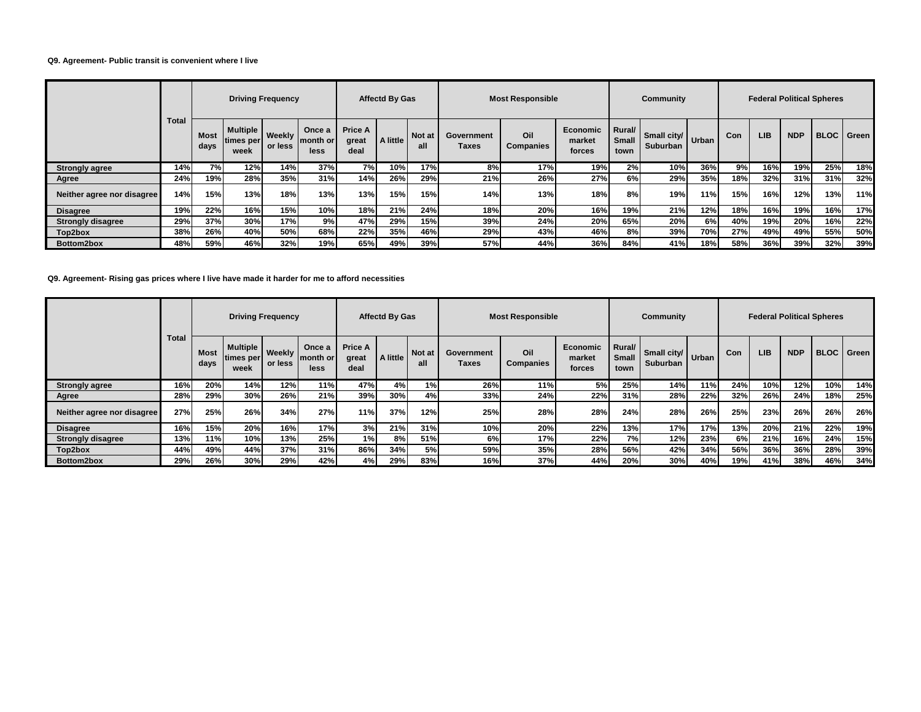### **Q9. Agreement- Public transit is convenient where I live**

|                            |              |                     |                                               | <b>Driving Frequency</b> |                            |                                 | <b>Affectd By Gas</b> |               |                     | <b>Most Responsible</b> |                              |                                | Community               |       |            | <b>Federal Political Spheres</b> |            |     |                   |
|----------------------------|--------------|---------------------|-----------------------------------------------|--------------------------|----------------------------|---------------------------------|-----------------------|---------------|---------------------|-------------------------|------------------------------|--------------------------------|-------------------------|-------|------------|----------------------------------|------------|-----|-------------------|
|                            | <b>Total</b> | <b>Most</b><br>days | <b>Multiple   Weekly</b><br>times per<br>week | or less                  | Once a<br>month or<br>less | <b>Price A</b><br>great<br>deal | A little              | Not at<br>all | Government<br>Taxes | Oil<br><b>Companies</b> | Economic<br>market<br>forces | Rural/<br><b>Small</b><br>town | Small city/<br>Suburban | Urban | <b>Con</b> | <b>LIB</b>                       | <b>NDP</b> |     | <b>BLOC</b> Green |
| <b>Strongly agree</b>      | 14%          | 7%                  | 12%                                           | <b>14%</b>               | 37%                        | 7%                              | 10%                   | 17%           | 8%                  | 17%                     | 19%                          | 2%                             | 10%                     | 36%   | 9%         | 16%                              | 19%        | 25% | 18%               |
| Agree                      | 24%          | 19%                 | 28%                                           | 35%                      | 31%                        | 14%                             | 26%                   | 29%           | 21%                 | 26%                     | 27%                          | 6%                             | 29%                     | 35%   | 18%        | 32%                              | 31%        | 31% | 32%               |
| Neither agree nor disagree | 14%          | 15%                 | 13%                                           | 18%                      | 13%                        | 13%                             | 15%                   | 15%           | 14%                 | 13%                     | 18%                          | 8%                             | 19%                     | 11%   | 15%        | 16%                              | 12%        | 13% | 11%               |
| <b>Disagree</b>            | 19%          | 22%                 | 16%                                           | 15%                      | 10%                        | 18%                             | 21%                   | 24%           | 18%                 | 20%                     | 16%                          | 19%                            | 21%                     | 12%   | 18%        | 16%                              | 19%        | 16% | 17%               |
| <b>Strongly disagree</b>   | 29%          | 37%                 | 30%                                           | 17%                      | 9%                         | 47%                             | 29%                   | 15%           | 39%                 | 24%                     | 20%                          | 65%                            | 20%                     | 6%I   | 40%        | 19%                              | 20%        | 16% | 22%               |
| Top2box                    | 38%          | 26%                 | 40%                                           | 50%                      | 68%                        | 22%                             | 35%                   | 46%           | 29%                 | 43%                     | 46%                          | 8%                             | 39%                     | 70%   | 27%        | 49%                              | 49%        | 55% | 50%               |
| Bottom2box                 | 48%          | 59%                 | 46%                                           | 32%                      | 19%                        | 65%                             | 49%                   | 39%           | 57%                 | 44%                     | 36%                          | 84%                            | 41%                     | 18%   | 58%        | 36%                              | 39%        | 32% | 39%               |

**Q9. Agreement- Rising gas prices where I live have made it harder for me to afford necessities**

|                            |              |              | <b>Driving Frequency</b>        |                          |                            |                                 | <b>Affectd By Gas</b> |               |                     | <b>Most Responsible</b> |                                     |                                | Community                     |     |     | <b>Federal Political Spheres</b> |            |     |                   |
|----------------------------|--------------|--------------|---------------------------------|--------------------------|----------------------------|---------------------------------|-----------------------|---------------|---------------------|-------------------------|-------------------------------------|--------------------------------|-------------------------------|-----|-----|----------------------------------|------------|-----|-------------------|
|                            | <b>Total</b> | Most<br>days | Multiple  <br>times per<br>week | <b>Weekly</b><br>or less | Once a<br>month or<br>less | <b>Price A</b><br>great<br>deal | A little              | Not at<br>all | Government<br>Taxes | Oil<br><b>Companies</b> | <b>Economic</b><br>market<br>forces | Rural/<br><b>Small</b><br>town | Small city/ Urban<br>Suburban |     | Con | <b>LIB</b>                       | <b>NDP</b> |     | <b>BLOC</b> Green |
| <b>Strongly agree</b>      | 16%          | 20%          | 14%                             | 12%                      | 11%                        | 47%                             | 4%                    | 1%            | 26%                 | 11%                     | <b>5%</b>                           | 25%                            | 14%                           | 11% | 24% | 10%                              | 12%        | 10% | 14%               |
| Agree                      | 28%          | 29%          | 30%                             | 26%                      | 21%                        | 39%                             | 30%                   | 4%            | 33%                 | 24%                     | 22%                                 | 31%                            | 28%                           | 22% | 32% | 26%                              | 24%        | 18% | 25%               |
| Neither agree nor disagree | 27%          | 25%          | 26%                             | 34%                      | 27%                        | 11%                             | 37%                   | 12%           | 25%                 | 28%                     | 28%                                 | 24%                            | 28%                           | 26% | 25% | 23%                              | 26%        | 26% | 26%               |
| <b>Disagree</b>            | 16%          | 15%          | 20%                             | 16%                      | 17%                        | 3%                              | 21%                   | 31%           | 10%                 | 20%                     | 22%                                 | 13%                            | 17%                           | 17% | 13% | 20%                              | 21%        | 22% | 19%               |
| <b>Strongly disagree</b>   | 13%          | 11%          | 10%                             | 13%                      | 25%                        | 1%                              | 8%I                   | 51%           | 6%                  | 17%                     | 22%                                 | 7%I                            | 12%                           | 23% | 6%  | 21%                              | 16%        | 24% | 15%               |
| Top2box                    | 44%          | 49%          | 44%                             | 37%                      | 31%                        | 86%                             | 34%                   | 5%            | 59%                 | 35%                     | 28%                                 | 56%                            | 42%                           | 34% | 56% | 36%                              | 36%        | 28% | 39%               |
| Bottom2box                 | 29%          | 26%          | 30%                             | 29%                      | 42%                        | 4%                              | 29%                   | 83%           | 16%                 | 37%                     | 44%                                 | 20%                            | 30%                           | 40% | 19% | 41%                              | 38%        | 46% | 34%               |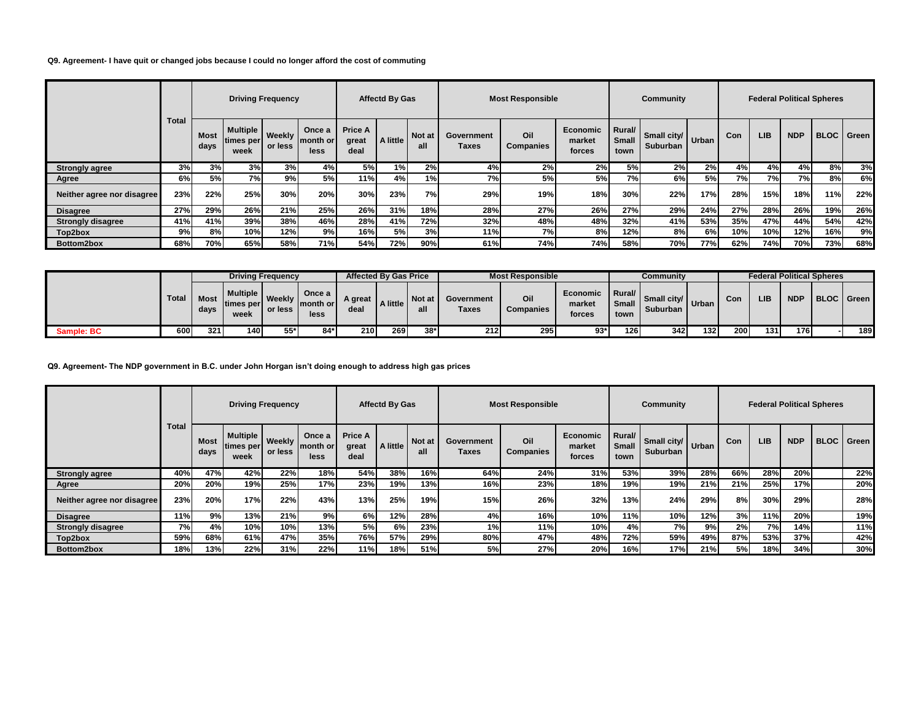## **Q9. Agreement- I have quit or changed jobs because I could no longer afford the cost of commuting**

|                            |              |              |                                 | <b>Driving Frequency</b> |                            |                                 | <b>Affectd By Gas</b> |                      |                     | <b>Most Responsible</b> |                              |                                | Community               |       |     |            |            | <b>Federal Political Spheres</b> |     |
|----------------------------|--------------|--------------|---------------------------------|--------------------------|----------------------------|---------------------------------|-----------------------|----------------------|---------------------|-------------------------|------------------------------|--------------------------------|-------------------------|-------|-----|------------|------------|----------------------------------|-----|
|                            | <b>Total</b> | Most<br>days | Multiple  <br>times per<br>week | <b>Weekly</b><br>or less | Once a<br>month or<br>less | <b>Price A</b><br>great<br>deal | A little              | <b>Not at</b><br>all | Government<br>Taxes | Oil<br><b>Companies</b> | Economic<br>market<br>forces | Rural/<br><b>Small</b><br>town | Small city/<br>Suburban | Urban | Con | <b>LIB</b> | <b>NDP</b> | <b>BLOC</b> Green                |     |
| <b>Strongly agree</b>      | 3%           | 3%           | 3%                              | 3%                       | 4%                         | 5%                              | 1%                    | 2%                   | 4%                  | 2%                      | 2%                           | 5%                             | 2%                      | 2%    | 4%  | 4%         | 4%         | 8%                               | 3%  |
| Agree                      | 6%           | 5%           | 7%I                             | 9%                       | 5%                         | 11%                             | 4%I                   | 1%                   | 7%                  | 5%                      | 5%                           | 7%                             | 6%                      | 5%    | 7%  | 7%         | 7%I        | 8%                               | 6%  |
| Neither agree nor disagree | 23%          | 22%          | 25%                             | 30%                      | 20%                        | 30%                             | 23%                   | 7%                   | 29%                 | 19%                     | 18%                          | 30%                            | 22%                     | 17%   | 28% | 15%        | 18%        | 11%                              | 22% |
| <b>Disagree</b>            | 27%          | 29%          | 26%                             | 21%                      | 25%                        | 26%                             | 31%                   | 18%                  | 28%                 | 27%                     | 26%                          | 27%                            | 29%                     | 24%   | 27% | 28%        | 26%        | 19%                              | 26% |
| <b>Strongly disagree</b>   | 41%          | 41%          | 39%                             | 38%                      | 46%                        | 28%                             | 41%                   | 72%                  | 32%                 | 48%                     | 48%                          | 32%                            | 41%                     | 53%   | 35% | 47%        | 44%        | 54%                              | 42% |
| Top2box                    | 9%           | 8%           | 10%                             | 12%                      | 9%                         | 16%                             | 5%l                   | 3%                   | 11%                 | 7%                      | 8%                           | 12%                            | 8%                      | 6%    | 10% | 10%        | 12%        | 16%                              | 9%  |
| Bottom2box                 | 68%          | 70%          | 65%                             | 58%                      | 71%                        | 54%                             | 72%                   | 90%                  | 61%                 | 74%                     | 74%                          | 58%                            | 70%                     | 77%   | 62% | 74%        | 70%        | 73%                              | 68% |

|            |              |                     |                                             | <b>Driving Frequency</b> |                               | <b>Affected By Gas Price</b> |          |               |                     | <b>Most Responsible</b> |                              |                                    | Community                 |                  |     |            |            | <b>Federal Political Spheres</b> |     |
|------------|--------------|---------------------|---------------------------------------------|--------------------------|-------------------------------|------------------------------|----------|---------------|---------------------|-------------------------|------------------------------|------------------------------------|---------------------------|------------------|-----|------------|------------|----------------------------------|-----|
|            | <b>Total</b> | <b>Most</b><br>days | <b>Multiple</b> Weekly<br>times per<br>week | or less                  | Once a<br>Imonth or I<br>less | A great<br>deal              | A little | Not at<br>all | Government<br>Taxes | Oil<br>Companies        | Economic<br>market<br>forces | <b>I</b> Rural/<br>Small  <br>town | Small city/<br>Suburban I | " Urban          | Con | <b>LIB</b> | <b>NDP</b> | I BLOC I Green                   |     |
| Sample: BC | 600 l        | 321                 | 140 I                                       | 55*                      | $84*$                         | 210                          | 269 I    | $38*$         | 212 I               | 295                     | 93*                          | 1261                               | 342 I                     | 132 <sub>l</sub> | 200 | 131        | 176.       |                                  | 189 |

**Q9. Agreement- The NDP government in B.C. under John Horgan isn't doing enough to address high gas prices**

|                            |       |              |                                 | <b>Driving Frequency</b> |                            |                                 | <b>Affectd By Gas</b> |                      |                     | <b>Most Responsible</b> |                                     |                         | Community                      |              |     | <b>Federal Political Spheres</b> |            |                   |
|----------------------------|-------|--------------|---------------------------------|--------------------------|----------------------------|---------------------------------|-----------------------|----------------------|---------------------|-------------------------|-------------------------------------|-------------------------|--------------------------------|--------------|-----|----------------------------------|------------|-------------------|
|                            | Total | Most<br>days | Multiple  <br>times per<br>week | Weekly<br>or less        | Once a<br>month or<br>less | <b>Price A</b><br>great<br>deal | A little              | <b>Not at</b><br>all | Government<br>Taxes | Oil<br><b>Companies</b> | <b>Economic</b><br>market<br>forces | Rural/<br>Small<br>town | Small city/<br><b>Suburban</b> | <b>Urban</b> | Con | <b>LIB</b>                       | <b>NDP</b> | <b>BLOC</b> Green |
| <b>Strongly agree</b>      | 40%   | 47%          | 42%                             | 22%                      | 18%                        | 54%                             | 38%                   | 16%                  | 64%                 | 24%                     | 31%                                 | 53%                     | 39%                            | 28%          | 66% | 28%                              | 20%        | 22%               |
| Agree                      | 20%   | 20%          | 19%                             | 25%                      | 17%                        | 23%                             | 19%                   | 13%                  | 16%                 | 23%                     | 18%                                 | 19%                     | 19%                            | 21%          | 21% | 25%                              | 17%        | 20%               |
| Neither agree nor disagree | 23%   | 20%          | 17%                             | 22%                      | 43%                        | 13%                             | 25%                   | 19%                  | 15%                 | 26%                     | 32%                                 | 13%                     | 24%                            | 29%          | 8%  | 30%                              | 29%        | 28%               |
| <b>Disagree</b>            | 11%   | 9%           | 13%                             | 21%                      | 9%                         | 6%I                             | 12%                   | 28%                  | 4%                  | 16%                     | 10%                                 | 11%                     | 10%                            | 12%          | 3%  | 11%                              | 20%        | 19%               |
| <b>Strongly disagree</b>   | 7%    | 4%           | 10%                             | 10%                      | 13%                        | 5%                              | 6%                    | 23%                  | 1%                  | 11%                     | 10%                                 | 4%                      | 7%I                            | 9%           | 2%  | 7%                               | 14%        | 11%               |
| Top2box                    | 59%   | 68%          | 61%                             | 47%                      | 35%                        | 76%                             | 57%                   | 29%                  | 80%                 | 47%                     | 48%                                 | 72%                     | 59%                            | 49%          | 87% | 53%                              | 37%        | 42%               |
| Bottom2box                 | 18%   | 13%          | 22%                             | 31%                      | 22%                        | 11%                             | 18%                   | 51%                  | 5%                  | 27%                     | 20%                                 | 16%                     | 17%                            | 21%          | 5%l | 18%                              | 34%        | 30%               |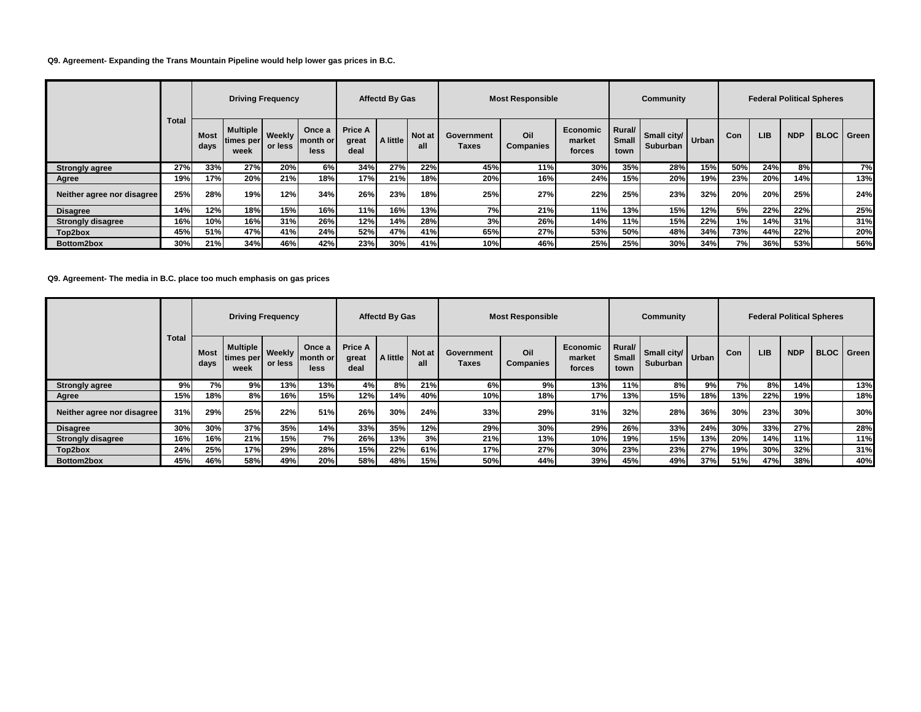## **Q9. Agreement- Expanding the Trans Mountain Pipeline would help lower gas prices in B.C.**

|                            |              |              |                                               | <b>Driving Frequency</b> |                                    |                                 | <b>Affectd By Gas</b> |               |                     | <b>Most Responsible</b> |                                     |                                | Community               |       |     |            | <b>Federal Political Spheres</b> |                   |
|----------------------------|--------------|--------------|-----------------------------------------------|--------------------------|------------------------------------|---------------------------------|-----------------------|---------------|---------------------|-------------------------|-------------------------------------|--------------------------------|-------------------------|-------|-----|------------|----------------------------------|-------------------|
|                            | <b>Total</b> | Most<br>days | <b>Multiple   Weekly</b><br>times per<br>week | or less                  | Once a<br>Imonth or<br><b>less</b> | <b>Price A</b><br>great<br>deal | A little              | Not at<br>all | Government<br>Taxes | Oil<br><b>Companies</b> | <b>Economic</b><br>market<br>forces | Rural/<br><b>Small</b><br>town | Small city/<br>Suburban | Urban | Con | <b>LIB</b> | <b>NDP</b>                       | <b>BLOC</b> Green |
| <b>Strongly agree</b>      | 27%          | 33%          | 27%                                           | 20%                      | 6%                                 | 34%                             | 27%                   | 22%           | 45%                 | 11%                     | 30%                                 | 35%                            | 28%                     | 15%   | 50% | 24%        | 8%                               | 7%                |
| Agree                      | 19%          | 17%          | 20%                                           | 21%                      | 18%                                | 17%                             | 21%                   | 18%           | 20%                 | 16%                     | 24%                                 | 15%                            | 20%                     | 19% i | 23% | 20%        | 14%                              | 13%               |
| Neither agree nor disagree | 25%          | 28%          | 19%                                           | 12%                      | 34%                                | 26%                             | 23%                   | 18%           | 25%                 | 27%                     | 22%                                 | 25%                            | 23%                     | 32%   | 20% | 20%        | 25%                              | 24%               |
| <b>Disagree</b>            | 14%          | 12%          | 18%                                           | 15%                      | 16%                                | 11%                             | 16%                   | 13%           | 7%                  | 21%                     | 11%                                 | 13%                            | 15%                     | 12%   | 5%I | 22%        | 22%                              | 25%               |
| <b>Strongly disagree</b>   | 16%          | 10%          | 16%                                           | 31%                      | 26%                                | 12%                             | 14%                   | 28%           | 3%                  | 26%                     | 14%                                 | 11%                            | 15%                     | 22%   | 1%I | 14%        | 31%                              | 31%               |
| Top2box                    | 45%          | 51%          | 47%                                           | 41%                      | 24%                                | 52%                             | 47%                   | 41%           | 65%                 | 27%                     | 53%                                 | 50%                            | 48%                     | 34%   | 73% | 44%        | 22%                              | 20%               |
| Bottom2box                 | 30%          | 21%          | 34%                                           | 46%                      | 42%                                | 23%                             | $30\%$                | 41%           | 10%                 | 46%                     | 25%                                 | 25%                            | 30%                     | 34%   | 7%I | 36%        | 53%                              | 56%               |

### **Q9. Agreement- The media in B.C. place too much emphasis on gas prices**

|                            |              |              |                                 | <b>Driving Frequency</b> |                             |                                 | <b>Affectd By Gas</b> |                      |                     | <b>Most Responsible</b> |                              |                                | Community                      |       |     |            | <b>Federal Political Spheres</b> |                   |
|----------------------------|--------------|--------------|---------------------------------|--------------------------|-----------------------------|---------------------------------|-----------------------|----------------------|---------------------|-------------------------|------------------------------|--------------------------------|--------------------------------|-------|-----|------------|----------------------------------|-------------------|
|                            | <b>Total</b> | Most<br>days | Multiple  <br>times per<br>week | Weekly<br>or less        | Once a<br>Imonth or<br>less | <b>Price A</b><br>great<br>deal | A little              | <b>Not at</b><br>all | Government<br>Taxes | Oil<br><b>Companies</b> | Economic<br>market<br>forces | Rural/<br><b>Small</b><br>town | Small city/<br><b>Suburban</b> | Urban | Con | <b>LIB</b> | <b>NDP</b>                       | <b>BLOC</b> Green |
| <b>Strongly agree</b>      | 9%           | 7%           | 9%                              | 13%                      | 13%                         | 4%                              | 8%                    | 21%                  | 6%                  | 9%                      | 13%                          | 11%                            | 8%                             | 9%    | 7%  | 8%         | 14%                              | 13%               |
| Agree                      | 15%          | 18%          | 8%I                             | 16%                      | 15%                         | 12%                             | 14%                   | 40%                  | 10%                 | 18%                     | 17%                          | 13%                            | 15%                            | 18%   | 13% | 22%        | 19%                              | 18%               |
| Neither agree nor disagree | 31%          | 29%          | 25%                             | 22%                      | 51%                         | 26%                             | 30%                   | 24%                  | 33%                 | 29%                     | 31%                          | 32%                            | 28%                            | 36%   | 30% | 23%        | 30%                              | 30%               |
| <b>Disagree</b>            | 30%          | 30%          | 37%                             | 35%                      | 14%                         | 33%                             | 35%                   | 12%                  | 29%                 | 30%                     | 29%                          | 26%                            | 33%                            | 24%   | 30% | 33%        | 27%                              | 28%               |
| <b>Strongly disagree</b>   | 16%          | 16%          | 21%                             | 15%                      | 7%                          | 26%                             | 13%                   | 3%                   | 21%                 | 13%                     | 10%                          | 19%                            | 15%                            | 13%   | 20% | 14%        | 11%                              | 11%               |
| Top2box                    | 24%          | 25%          | 17%                             | 29%                      | 28%                         | 15%                             | 22%                   | 61%                  | 17%                 | 27%                     | 30%                          | 23%                            | 23%                            | 27%   | 19% | 30%        | 32%                              | 31%               |
| Bottom2box                 | 45%          | 46%          | 58%                             | 49%                      | 20%                         | 58%                             | 48%                   | 15%                  | 50%                 | 44%                     | 39%                          | 45%                            | 49%                            | 37%   | 51% | 47%        | 38%                              | 40%               |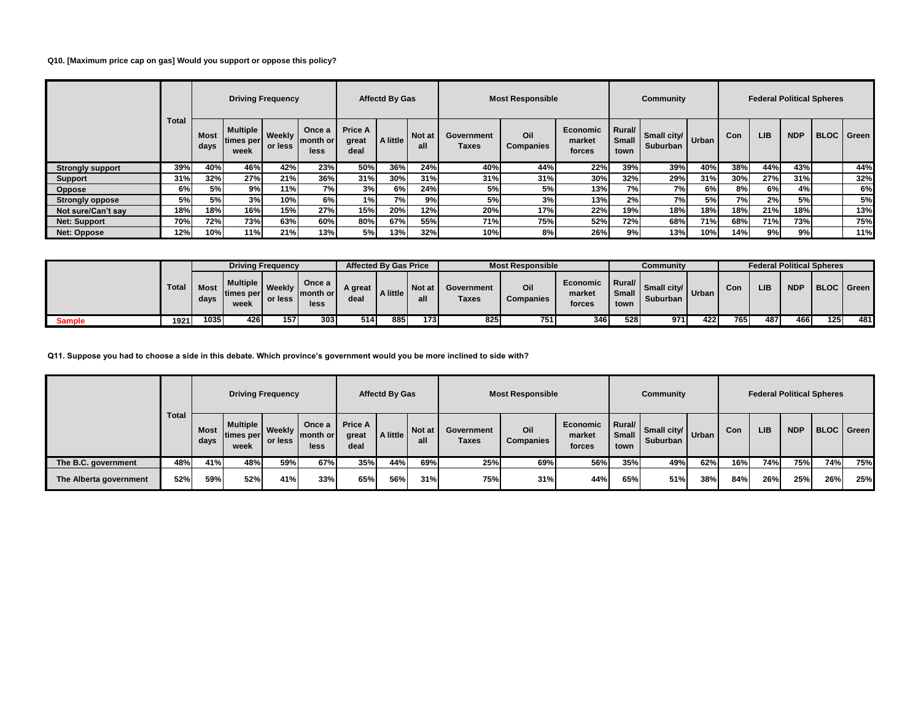# **Q10. [Maximum price cap on gas] Would you support or oppose this policy?**

|                         |              |                     |                               | <b>Driving Frequency</b> |                            |                                 | <b>Affectd By Gas</b> |                      |                     | <b>Most Responsible</b> |                              |                         | Community               |              |     |            | <b>Federal Political Spheres</b> |                     |
|-------------------------|--------------|---------------------|-------------------------------|--------------------------|----------------------------|---------------------------------|-----------------------|----------------------|---------------------|-------------------------|------------------------------|-------------------------|-------------------------|--------------|-----|------------|----------------------------------|---------------------|
|                         | <b>Total</b> | <b>Most</b><br>days | Multiple<br>times per<br>week | Weekly<br>or less        | Once a<br>month or<br>less | <b>Price A</b><br>great<br>deal | A little              | <b>Not at</b><br>all | Government<br>Taxes | Oil<br><b>Companies</b> | Economic<br>market<br>forces | Rural/<br>Small<br>town | Small city/<br>Suburban | <b>Urban</b> | Con | <b>LIB</b> | <b>NDP</b>                       | <b>BLOC</b>   Green |
| <b>Strongly support</b> | 39%          | 40%                 | 46%                           | 42%                      | 23%                        | 50%                             | 36%                   | 24%                  | 40%                 | 44%                     | 22%                          | 39%                     | 39%                     | 40%          | 38% | 44%        | 43%                              | 44%                 |
| <b>Support</b>          | 31%          | 32%                 | 27%                           | 21%                      | 36%                        | 31%                             | 30%                   | 31%                  | 31%                 | 31%                     | 30%                          | 32%                     | 29%                     | 31%          | 30% | 27%        | 31%                              | 32%                 |
| Oppose                  | 6%           | 5%                  | 9%                            | 11%                      | 7%)                        | 3%                              | 6%                    | 24%                  | 5%                  | 5%                      | 13%                          | 7%I                     | 7%I                     | 6%           | 8%I | 6%         | 4%                               | 6%                  |
| <b>Strongly oppose</b>  | 5%           | 5%                  | 3%                            | 10%                      | 6%l                        | 1%                              | 7%I                   | 9%                   | 5%                  | 3%                      | 13%                          | 2%                      | 7%I                     | 5%           | 7%I | 2%         | <b>5%</b>                        | 5%                  |
| Not sure/Can't say      | 18%          | 18%                 | 16%                           | 15%                      | 27%                        | 15%                             | 20%                   | 12%                  | 20%                 | 17%                     | 22%                          | 19%                     | 18%                     | 18%          | 18% | 21%        | 18%                              | 13%                 |
| <b>Net: Support</b>     | 70%          | 72%                 | 73%                           | 63%                      | 60%                        | 80%                             | 67%                   | 55%                  | 71%                 | 75%                     | 52%                          | 72%                     | 68%                     | 71%          | 68% | 71%        | 73%                              | 75%                 |
| Net: Oppose             | 12%          | 10%                 | 11%                           | 21%                      | 13%                        | 5%                              | 13%                   | 32%                  | 10%                 | 8%                      | 26%                          | 9%                      | 13%                     | 10%          | 14% | 9%         | 9%                               | 11%                 |

|        |              |               |                                           | <b>Driving Frequency</b> |                               |                 | <b>Affected By Gas Price</b> |               |                     | <b>Most Responsible</b> |                              |                              | Community                 |       |     |     |            | <b>Federal Political Spheres</b> |     |
|--------|--------------|---------------|-------------------------------------------|--------------------------|-------------------------------|-----------------|------------------------------|---------------|---------------------|-------------------------|------------------------------|------------------------------|---------------------------|-------|-----|-----|------------|----------------------------------|-----|
|        | <b>Total</b> | Most.<br>days | <b>Multiple I</b><br>Itimes per l<br>week | Weekly<br>or less        | Once a<br>Imonth or I<br>less | A great<br>deal | A little                     | Not at<br>all | Government<br>Taxes | Oil<br><b>Companies</b> | Economic<br>market<br>forces | I Rural/I<br>Small I<br>town | Small city/<br>Suburban I | Urban | Con | LIB | <b>NDP</b> | <b>BLOC</b> Green                |     |
| Sample | 1921         | 1035          | 426                                       | 157                      | 303                           | 514             | 885                          | 173           | 825                 | 751                     | 346 I                        | 5281                         | 971                       | 4221  | 765 | 487 | 466.       | 125 <sub>1</sub>                 | 481 |

**Q11. Suppose you had to choose a side in this debate. Which province's government would you be more inclined to side with?**

|                        | <b>Total</b> | <b>Driving Frequency</b> |                                                 |     |                            | Affectd By Gas                  |          |               | <b>Most Responsible</b> |                  |                              |                                | Community                       | <b>Federal Political Spheres</b> |     |            |            |            |     |
|------------------------|--------------|--------------------------|-------------------------------------------------|-----|----------------------------|---------------------------------|----------|---------------|-------------------------|------------------|------------------------------|--------------------------------|---------------------------------|----------------------------------|-----|------------|------------|------------|-----|
|                        |              | <b>Most</b><br>days      | Multiple Weekly I<br>ltimes per or less<br>week |     | Once a<br>month or<br>less | <b>Price A</b><br>great<br>deal | A little | Not at<br>all | Government<br>Taxes     | Oil<br>Companies | Economic<br>market<br>forces | Rural/<br><b>Small</b><br>town | Small city/ Urban<br>Suburban I |                                  | Con | <b>LIB</b> | <b>NDP</b> | BLOC Green |     |
| The B.C. government    | 48%          | 41%                      | 48%                                             | 59% | 67%                        | 35%                             | 44%      | 69%           | 25%                     | 69%              | 56%                          | 35%                            | 49%                             | 62%                              | 16% | 74%        | 75%        | 74%        | 75% |
| The Alberta government | 52%          | 59%                      | 52%                                             | 41% | 33%                        | 65%                             | 56%      | 31%           | 75%                     | 31%              | 44%                          | 65%                            | 51%                             | 38%                              | 84% | 26%        | 25%        | 26%        | 25% |